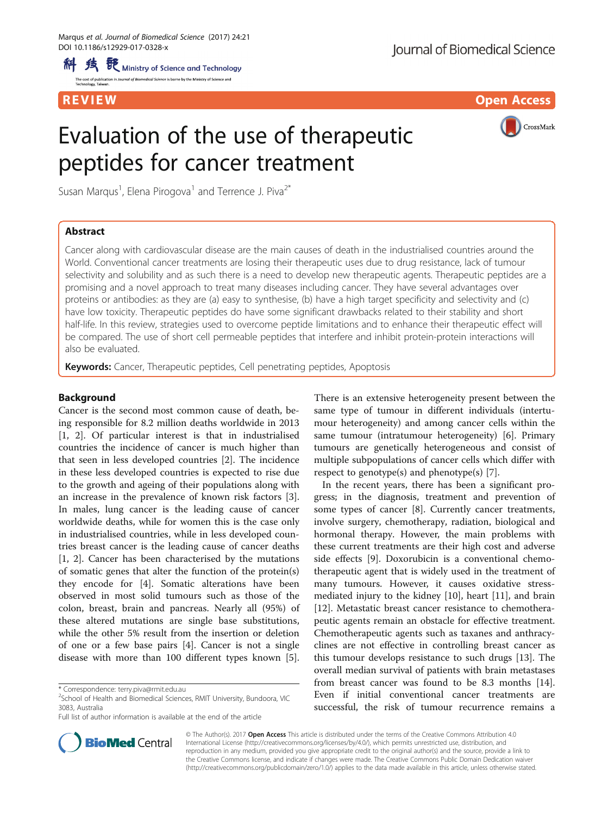al of Biomedical Science is borne by the Ministry of Science and

R EVI EW Open Access

# Evaluation of the use of therapeutic peptides for cancer treatment



Susan Marqus<sup>1</sup>, Elena Pirogova<sup>1</sup> and Terrence J. Piva<sup>2\*</sup>

# Abstract

Cancer along with cardiovascular disease are the main causes of death in the industrialised countries around the World. Conventional cancer treatments are losing their therapeutic uses due to drug resistance, lack of tumour selectivity and solubility and as such there is a need to develop new therapeutic agents. Therapeutic peptides are a promising and a novel approach to treat many diseases including cancer. They have several advantages over proteins or antibodies: as they are (a) easy to synthesise, (b) have a high target specificity and selectivity and (c) have low toxicity. Therapeutic peptides do have some significant drawbacks related to their stability and short half-life. In this review, strategies used to overcome peptide limitations and to enhance their therapeutic effect will be compared. The use of short cell permeable peptides that interfere and inhibit protein-protein interactions will also be evaluated.

Keywords: Cancer, Therapeutic peptides, Cell penetrating peptides, Apoptosis

# Background

Cancer is the second most common cause of death, being responsible for 8.2 million deaths worldwide in 2013 [[1, 2\]](#page-10-0). Of particular interest is that in industrialised countries the incidence of cancer is much higher than that seen in less developed countries [[2\]](#page-10-0). The incidence in these less developed countries is expected to rise due to the growth and ageing of their populations along with an increase in the prevalence of known risk factors [\[3](#page-10-0)]. In males, lung cancer is the leading cause of cancer worldwide deaths, while for women this is the case only in industrialised countries, while in less developed countries breast cancer is the leading cause of cancer deaths [[1, 2](#page-10-0)]. Cancer has been characterised by the mutations of somatic genes that alter the function of the protein(s) they encode for [[4\]](#page-10-0). Somatic alterations have been observed in most solid tumours such as those of the colon, breast, brain and pancreas. Nearly all (95%) of these altered mutations are single base substitutions, while the other 5% result from the insertion or deletion of one or a few base pairs [\[4](#page-10-0)]. Cancer is not a single disease with more than 100 different types known [\[5](#page-10-0)]. There is an extensive heterogeneity present between the same type of tumour in different individuals (intertumour heterogeneity) and among cancer cells within the same tumour (intratumour heterogeneity) [[6\]](#page-10-0). Primary tumours are genetically heterogeneous and consist of multiple subpopulations of cancer cells which differ with respect to genotype(s) and phenotype(s) [[7\]](#page-10-0).

In the recent years, there has been a significant progress; in the diagnosis, treatment and prevention of some types of cancer [[8\]](#page-10-0). Currently cancer treatments, involve surgery, chemotherapy, radiation, biological and hormonal therapy. However, the main problems with these current treatments are their high cost and adverse side effects [\[9](#page-10-0)]. Doxorubicin is a conventional chemotherapeutic agent that is widely used in the treatment of many tumours. However, it causes oxidative stressmediated injury to the kidney [\[10](#page-10-0)], heart [\[11](#page-10-0)], and brain [[12\]](#page-10-0). Metastatic breast cancer resistance to chemotherapeutic agents remain an obstacle for effective treatment. Chemotherapeutic agents such as taxanes and anthracyclines are not effective in controlling breast cancer as this tumour develops resistance to such drugs [[13\]](#page-10-0). The overall median survival of patients with brain metastases from breast cancer was found to be 8.3 months [\[14](#page-10-0)]. Even if initial conventional cancer treatments are successful, the risk of tumour recurrence remains a



© The Author(s). 2017 **Open Access** This article is distributed under the terms of the Creative Commons Attribution 4.0 International License [\(http://creativecommons.org/licenses/by/4.0/](http://creativecommons.org/licenses/by/4.0/)), which permits unrestricted use, distribution, and reproduction in any medium, provided you give appropriate credit to the original author(s) and the source, provide a link to the Creative Commons license, and indicate if changes were made. The Creative Commons Public Domain Dedication waiver [\(http://creativecommons.org/publicdomain/zero/1.0/](http://creativecommons.org/publicdomain/zero/1.0/)) applies to the data made available in this article, unless otherwise stated.

<sup>\*</sup> Correspondence: [terry.piva@rmit.edu.au](mailto:terry.piva@rmit.edu.au) <sup>2</sup>

<sup>&</sup>lt;sup>2</sup>School of Health and Biomedical Sciences, RMIT University, Bundoora, VIC 3083, Australia

Full list of author information is available at the end of the article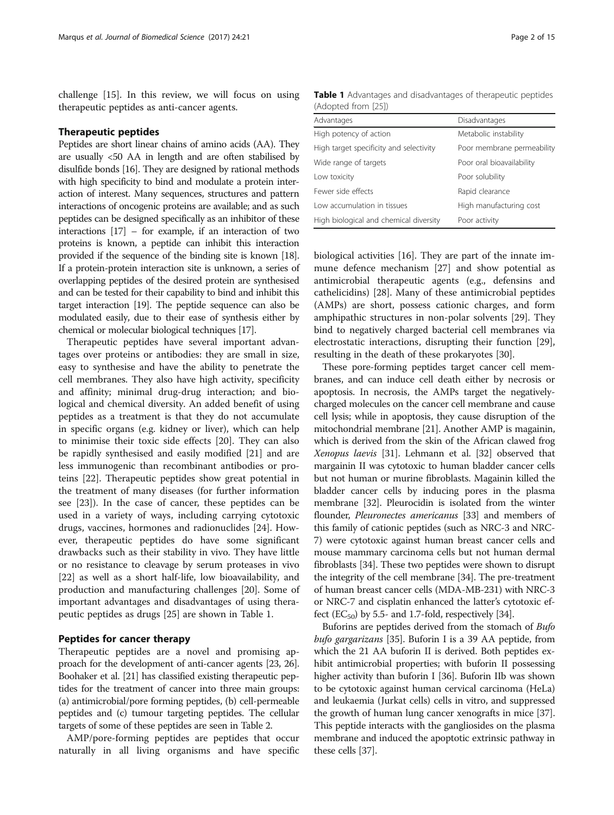challenge [\[15\]](#page-10-0). In this review, we will focus on using therapeutic peptides as anti-cancer agents.

## Therapeutic peptides

Peptides are short linear chains of amino acids (AA). They are usually <50 AA in length and are often stabilised by disulfide bonds [\[16\]](#page-10-0). They are designed by rational methods with high specificity to bind and modulate a protein interaction of interest. Many sequences, structures and pattern interactions of oncogenic proteins are available; and as such peptides can be designed specifically as an inhibitor of these interactions  $[17]$  – for example, if an interaction of two proteins is known, a peptide can inhibit this interaction provided if the sequence of the binding site is known [\[18](#page-11-0)]. If a protein-protein interaction site is unknown, a series of overlapping peptides of the desired protein are synthesised and can be tested for their capability to bind and inhibit this target interaction [[19](#page-11-0)]. The peptide sequence can also be modulated easily, due to their ease of synthesis either by chemical or molecular biological techniques [\[17\]](#page-10-0).

Therapeutic peptides have several important advantages over proteins or antibodies: they are small in size, easy to synthesise and have the ability to penetrate the cell membranes. They also have high activity, specificity and affinity; minimal drug-drug interaction; and biological and chemical diversity. An added benefit of using peptides as a treatment is that they do not accumulate in specific organs (e.g. kidney or liver), which can help to minimise their toxic side effects [\[20\]](#page-11-0). They can also be rapidly synthesised and easily modified [[21\]](#page-11-0) and are less immunogenic than recombinant antibodies or proteins [\[22\]](#page-11-0). Therapeutic peptides show great potential in the treatment of many diseases (for further information see [\[23\]](#page-11-0)). In the case of cancer, these peptides can be used in a variety of ways, including carrying cytotoxic drugs, vaccines, hormones and radionuclides [[24\]](#page-11-0). However, therapeutic peptides do have some significant drawbacks such as their stability in vivo. They have little or no resistance to cleavage by serum proteases in vivo [[22\]](#page-11-0) as well as a short half-life, low bioavailability, and production and manufacturing challenges [\[20\]](#page-11-0). Some of important advantages and disadvantages of using therapeutic peptides as drugs [[25](#page-11-0)] are shown in Table 1.

# Peptides for cancer therapy

Therapeutic peptides are a novel and promising approach for the development of anti-cancer agents [\[23, 26](#page-11-0)]. Boohaker et al. [\[21\]](#page-11-0) has classified existing therapeutic peptides for the treatment of cancer into three main groups: (a) antimicrobial/pore forming peptides, (b) cell-permeable peptides and (c) tumour targeting peptides. The cellular targets of some of these peptides are seen in Table [2](#page-2-0).

AMP/pore-forming peptides are peptides that occur naturally in all living organisms and have specific

Table 1 Advantages and disadvantages of therapeutic peptides (Adopted from [[25](#page-11-0)])

| Advantages                              | Disadvantages              |
|-----------------------------------------|----------------------------|
| High potency of action                  | Metabolic instability      |
| High target specificity and selectivity | Poor membrane permeability |
| Wide range of targets                   | Poor oral bioavailability  |
| Low toxicity                            | Poor solubility            |
| Fewer side effects                      | Rapid clearance            |
| Low accumulation in tissues             | High manufacturing cost    |
| High biological and chemical diversity  | Poor activity              |

biological activities [\[16](#page-10-0)]. They are part of the innate immune defence mechanism [[27](#page-11-0)] and show potential as antimicrobial therapeutic agents (e.g., defensins and cathelicidins) [\[28](#page-11-0)]. Many of these antimicrobial peptides (AMPs) are short, possess cationic charges, and form amphipathic structures in non-polar solvents [\[29\]](#page-11-0). They bind to negatively charged bacterial cell membranes via electrostatic interactions, disrupting their function [\[29](#page-11-0)], resulting in the death of these prokaryotes [\[30](#page-11-0)].

These pore-forming peptides target cancer cell membranes, and can induce cell death either by necrosis or apoptosis. In necrosis, the AMPs target the negativelycharged molecules on the cancer cell membrane and cause cell lysis; while in apoptosis, they cause disruption of the mitochondrial membrane [[21](#page-11-0)]. Another AMP is magainin, which is derived from the skin of the African clawed frog Xenopus laevis [\[31](#page-11-0)]. Lehmann et al. [[32](#page-11-0)] observed that margainin II was cytotoxic to human bladder cancer cells but not human or murine fibroblasts. Magainin killed the bladder cancer cells by inducing pores in the plasma membrane [[32](#page-11-0)]. Pleurocidin is isolated from the winter flounder, Pleuronectes americanus [\[33\]](#page-11-0) and members of this family of cationic peptides (such as NRC-3 and NRC-7) were cytotoxic against human breast cancer cells and mouse mammary carcinoma cells but not human dermal fibroblasts [[34](#page-11-0)]. These two peptides were shown to disrupt the integrity of the cell membrane [[34](#page-11-0)]. The pre-treatment of human breast cancer cells (MDA-MB-231) with NRC-3 or NRC-7 and cisplatin enhanced the latter's cytotoxic ef-fect (EC<sub>50</sub>) by 5.5- and 1.7-fold, respectively [\[34\]](#page-11-0).

Buforins are peptides derived from the stomach of Bufo bufo gargarizans [\[35\]](#page-11-0). Buforin I is a 39 AA peptide, from which the 21 AA buforin II is derived. Both peptides exhibit antimicrobial properties; with buforin II possessing higher activity than buforin I [\[36](#page-11-0)]. Buforin IIb was shown to be cytotoxic against human cervical carcinoma (HeLa) and leukaemia (Jurkat cells) cells in vitro, and suppressed the growth of human lung cancer xenografts in mice [[37](#page-11-0)]. This peptide interacts with the gangliosides on the plasma membrane and induced the apoptotic extrinsic pathway in these cells [\[37\]](#page-11-0).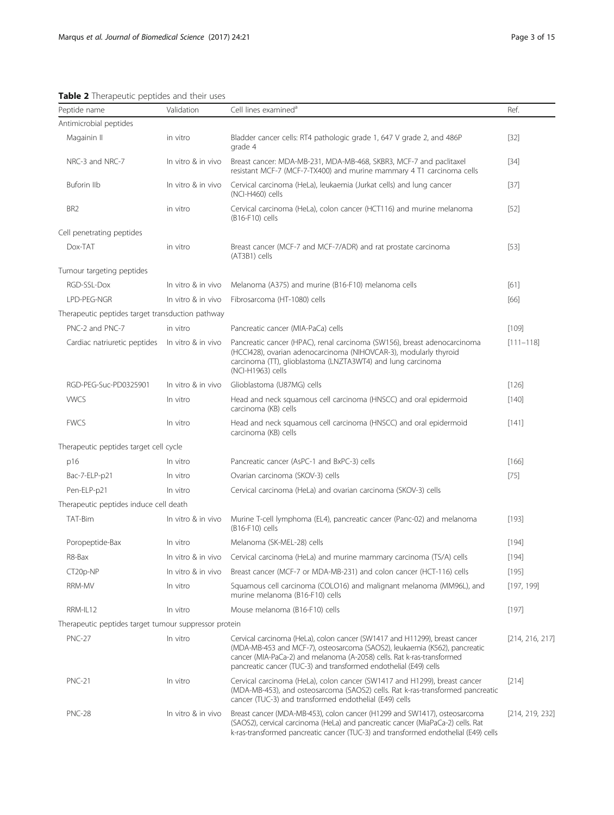| Peptide name                                          | Validation         | Cell lines examined <sup>a</sup>                                                                                                                                                                                                                                                                        | Ref.            |
|-------------------------------------------------------|--------------------|---------------------------------------------------------------------------------------------------------------------------------------------------------------------------------------------------------------------------------------------------------------------------------------------------------|-----------------|
| Antimicrobial peptides                                |                    |                                                                                                                                                                                                                                                                                                         |                 |
| Magainin II                                           | in vitro           | Bladder cancer cells: RT4 pathologic grade 1, 647 V grade 2, and 486P<br>grade 4                                                                                                                                                                                                                        | $[32]$          |
| NRC-3 and NRC-7                                       | In vitro & in vivo | Breast cancer: MDA-MB-231, MDA-MB-468, SKBR3, MCF-7 and paclitaxel<br>resistant MCF-7 (MCF-7-TX400) and murine mammary 4 T1 carcinoma cells                                                                                                                                                             | $[34]$          |
| Buforin IIb                                           | In vitro & in vivo | Cervical carcinoma (HeLa), leukaemia (Jurkat cells) and lung cancer<br>(NCI-H460) cells                                                                                                                                                                                                                 | $[37]$          |
| BR <sub>2</sub>                                       | in vitro           | Cervical carcinoma (HeLa), colon cancer (HCT116) and murine melanoma<br>(B16-F10) cells                                                                                                                                                                                                                 | $[52]$          |
| Cell penetrating peptides                             |                    |                                                                                                                                                                                                                                                                                                         |                 |
| Dox-TAT                                               | in vitro           | Breast cancer (MCF-7 and MCF-7/ADR) and rat prostate carcinoma<br>(AT3B1) cells                                                                                                                                                                                                                         | $[53]$          |
| Tumour targeting peptides                             |                    |                                                                                                                                                                                                                                                                                                         |                 |
| RGD-SSL-Dox                                           | In vitro & in vivo | Melanoma (A375) and murine (B16-F10) melanoma cells                                                                                                                                                                                                                                                     | [61]            |
| LPD-PEG-NGR                                           | In vitro & in vivo | Fibrosarcoma (HT-1080) cells                                                                                                                                                                                                                                                                            | [66]            |
| Therapeutic peptides target transduction pathway      |                    |                                                                                                                                                                                                                                                                                                         |                 |
| PNC-2 and PNC-7                                       | in vitro           | Pancreatic cancer (MIA-PaCa) cells                                                                                                                                                                                                                                                                      | [109]           |
| Cardiac natriuretic peptides                          | In vitro & in vivo | Pancreatic cancer (HPAC), renal carcinoma (SW156), breast adenocarcinoma<br>(HCCI428), ovarian adenocarcinoma (NIHOVCAR-3), modularly thyroid<br>carcinoma (TT), glioblastoma (LNZTA3WT4) and lung carcinoma<br>(NCI-H1963) cells                                                                       | $[111 - 118]$   |
| RGD-PEG-Suc-PD0325901                                 | In vitro & in vivo | Glioblastoma (U87MG) cells                                                                                                                                                                                                                                                                              | [126]           |
| <b>WCS</b>                                            | In vitro           | Head and neck squamous cell carcinoma (HNSCC) and oral epidermoid<br>carcinoma (KB) cells                                                                                                                                                                                                               | $[140]$         |
| <b>FWCS</b>                                           | In vitro           | Head and neck squamous cell carcinoma (HNSCC) and oral epidermoid<br>carcinoma (KB) cells                                                                                                                                                                                                               | [141]           |
| Therapeutic peptides target cell cycle                |                    |                                                                                                                                                                                                                                                                                                         |                 |
| p16                                                   | In vitro           | Pancreatic cancer (AsPC-1 and BxPC-3) cells                                                                                                                                                                                                                                                             | [166]           |
| Bac-7-ELP-p21                                         | In vitro           | Ovarian carcinoma (SKOV-3) cells                                                                                                                                                                                                                                                                        | $[75]$          |
| Pen-ELP-p21                                           | In vitro           | Cervical carcinoma (HeLa) and ovarian carcinoma (SKOV-3) cells                                                                                                                                                                                                                                          |                 |
| Therapeutic peptides induce cell death                |                    |                                                                                                                                                                                                                                                                                                         |                 |
| TAT-Bim                                               | In vitro & in vivo | Murine T-cell lymphoma (EL4), pancreatic cancer (Panc-02) and melanoma<br>(B16-F10) cells                                                                                                                                                                                                               | [193]           |
| Poropeptide-Bax                                       | In vitro           | Melanoma (SK-MEL-28) cells                                                                                                                                                                                                                                                                              | $[194]$         |
| R8-Bax                                                | In vitro & in vivo | Cervical carcinoma (HeLa) and murine mammary carcinoma (TS/A) cells                                                                                                                                                                                                                                     | [194]           |
| CT20p-NP                                              | In vitro & in vivo | Breast cancer (MCF-7 or MDA-MB-231) and colon cancer (HCT-116) cells                                                                                                                                                                                                                                    | [195]           |
| RRM-MV                                                | In vitro           | Squamous cell carcinoma (COLO16) and malignant melanoma (MM96L), and<br>murine melanoma (B16-F10) cells                                                                                                                                                                                                 | [197, 199]      |
| RRM-IL12                                              | In vitro           | Mouse melanoma (B16-F10) cells                                                                                                                                                                                                                                                                          | $[197]$         |
| Therapeutic peptides target tumour suppressor protein |                    |                                                                                                                                                                                                                                                                                                         |                 |
| <b>PNC-27</b>                                         | In vitro           | Cervical carcinoma (HeLa), colon cancer (SW1417 and H11299), breast cancer<br>(MDA-MB-453 and MCF-7), osteosarcoma (SAOS2), leukaemia (K562), pancreatic<br>cancer (MIA-PaCa-2) and melanoma (A-2058) cells. Rat k-ras-transformed<br>pancreatic cancer (TUC-3) and transformed endothelial (E49) cells | [214, 216, 217] |
| <b>PNC-21</b>                                         | In vitro           | Cervical carcinoma (HeLa), colon cancer (SW1417 and H1299), breast cancer<br>(MDA-MB-453), and osteosarcoma (SAOS2) cells. Rat k-ras-transformed pancreatic<br>cancer (TUC-3) and transformed endothelial (E49) cells                                                                                   | [214]           |

# <span id="page-2-0"></span>Table 2 Therapeutic peptides and their uses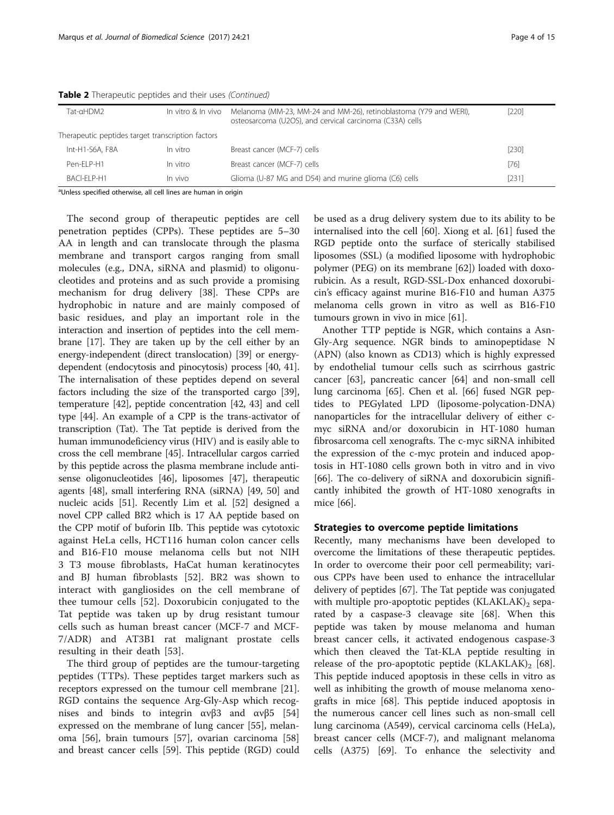| Tat-αHDM2                                         | In vitro & In vivo | Melanoma (MM-23, MM-24 and MM-26), retinoblastoma (Y79 and WERI),<br>osteosarcoma (U2OS), and cervical carcinoma (C33A) cells | [220]  |  |
|---------------------------------------------------|--------------------|-------------------------------------------------------------------------------------------------------------------------------|--------|--|
| Therapeutic peptides target transcription factors |                    |                                                                                                                               |        |  |
| Int-H1-S6A, F8A                                   | In vitro           | Breast cancer (MCF-7) cells                                                                                                   | [230]  |  |
| Pen-FI P-H1                                       | In vitro           | Breast cancer (MCF-7) cells                                                                                                   | $[76]$ |  |
| BACI-FI P-H1                                      | In vivo            | Glioma (U-87 MG and D54) and murine glioma (C6) cells                                                                         | [231]  |  |

Table 2 Therapeutic peptides and their uses (Continued)

<sup>a</sup>Unless specified otherwise, all cell lines are human in origin

The second group of therapeutic peptides are cell penetration peptides (CPPs). These peptides are 5–30 AA in length and can translocate through the plasma membrane and transport cargos ranging from small molecules (e.g., DNA, siRNA and plasmid) to oligonucleotides and proteins and as such provide a promising mechanism for drug delivery [\[38](#page-11-0)]. These CPPs are hydrophobic in nature and are mainly composed of basic residues, and play an important role in the interaction and insertion of peptides into the cell membrane [\[17\]](#page-10-0). They are taken up by the cell either by an energy-independent (direct translocation) [[39](#page-11-0)] or energydependent (endocytosis and pinocytosis) process [[40](#page-11-0), [41](#page-11-0)]. The internalisation of these peptides depend on several factors including the size of the transported cargo [[39](#page-11-0)], temperature [\[42](#page-11-0)], peptide concentration [[42](#page-11-0), [43\]](#page-11-0) and cell type [[44](#page-11-0)]. An example of a CPP is the trans-activator of transcription (Tat). The Tat peptide is derived from the human immunodeficiency virus (HIV) and is easily able to cross the cell membrane [\[45\]](#page-11-0). Intracellular cargos carried by this peptide across the plasma membrane include antisense oligonucleotides [[46](#page-11-0)], liposomes [\[47\]](#page-11-0), therapeutic agents [\[48\]](#page-11-0), small interfering RNA (siRNA) [\[49, 50\]](#page-11-0) and nucleic acids [\[51\]](#page-11-0). Recently Lim et al. [\[52\]](#page-11-0) designed a novel CPP called BR2 which is 17 AA peptide based on the CPP motif of buforin IIb. This peptide was cytotoxic against HeLa cells, HCT116 human colon cancer cells and B16-F10 mouse melanoma cells but not NIH 3 T3 mouse fibroblasts, HaCat human keratinocytes and BJ human fibroblasts [[52](#page-11-0)]. BR2 was shown to interact with gangliosides on the cell membrane of thee tumour cells [\[52](#page-11-0)]. Doxorubicin conjugated to the Tat peptide was taken up by drug resistant tumour cells such as human breast cancer (MCF-7 and MCF-7/ADR) and AT3B1 rat malignant prostate cells resulting in their death [[53\]](#page-11-0).

The third group of peptides are the tumour-targeting peptides (TTPs). These peptides target markers such as receptors expressed on the tumour cell membrane [\[21](#page-11-0)]. RGD contains the sequence Arg-Gly-Asp which recognises and binds to integrin  $\alpha \nu \beta$ 3 and  $\alpha \nu \beta$ 5 [[54](#page-11-0)] expressed on the membrane of lung cancer [\[55](#page-11-0)], melanoma [[56](#page-11-0)], brain tumours [[57](#page-11-0)], ovarian carcinoma [[58](#page-11-0)] and breast cancer cells [[59\]](#page-11-0). This peptide (RGD) could

be used as a drug delivery system due to its ability to be internalised into the cell [[60\]](#page-11-0). Xiong et al. [\[61](#page-11-0)] fused the RGD peptide onto the surface of sterically stabilised liposomes (SSL) (a modified liposome with hydrophobic polymer (PEG) on its membrane [[62\]](#page-11-0)) loaded with doxorubicin. As a result, RGD-SSL-Dox enhanced doxorubicin's efficacy against murine B16-F10 and human A375 melanoma cells grown in vitro as well as B16-F10 tumours grown in vivo in mice [[61\]](#page-11-0).

Another TTP peptide is NGR, which contains a Asn-Gly-Arg sequence. NGR binds to aminopeptidase N (APN) (also known as CD13) which is highly expressed by endothelial tumour cells such as scirrhous gastric cancer [\[63](#page-11-0)], pancreatic cancer [\[64\]](#page-11-0) and non-small cell lung carcinoma [\[65](#page-11-0)]. Chen et al. [[66](#page-11-0)] fused NGR peptides to PEGylated LPD (liposome-polycation-DNA) nanoparticles for the intracellular delivery of either cmyc siRNA and/or doxorubicin in HT-1080 human fibrosarcoma cell xenografts. The c-myc siRNA inhibited the expression of the c-myc protein and induced apoptosis in HT-1080 cells grown both in vitro and in vivo [[66\]](#page-11-0). The co-delivery of siRNA and doxorubicin significantly inhibited the growth of HT-1080 xenografts in mice [\[66](#page-11-0)].

## Strategies to overcome peptide limitations

Recently, many mechanisms have been developed to overcome the limitations of these therapeutic peptides. In order to overcome their poor cell permeability; various CPPs have been used to enhance the intracellular delivery of peptides [\[67\]](#page-11-0). The Tat peptide was conjugated with multiple pro-apoptotic peptides  $(KLAKL)$ <sub>2</sub> separated by a caspase-3 cleavage site [[68\]](#page-11-0). When this peptide was taken by mouse melanoma and human breast cancer cells, it activated endogenous caspase-3 which then cleaved the Tat-KLA peptide resulting in release of the pro-apoptotic peptide  $(KLAKLAK)_2$  [\[68](#page-11-0)]. This peptide induced apoptosis in these cells in vitro as well as inhibiting the growth of mouse melanoma xenografts in mice [\[68](#page-11-0)]. This peptide induced apoptosis in the numerous cancer cell lines such as non-small cell lung carcinoma (A549), cervical carcinoma cells (HeLa), breast cancer cells (MCF-7), and malignant melanoma cells (A375) [[69\]](#page-11-0). To enhance the selectivity and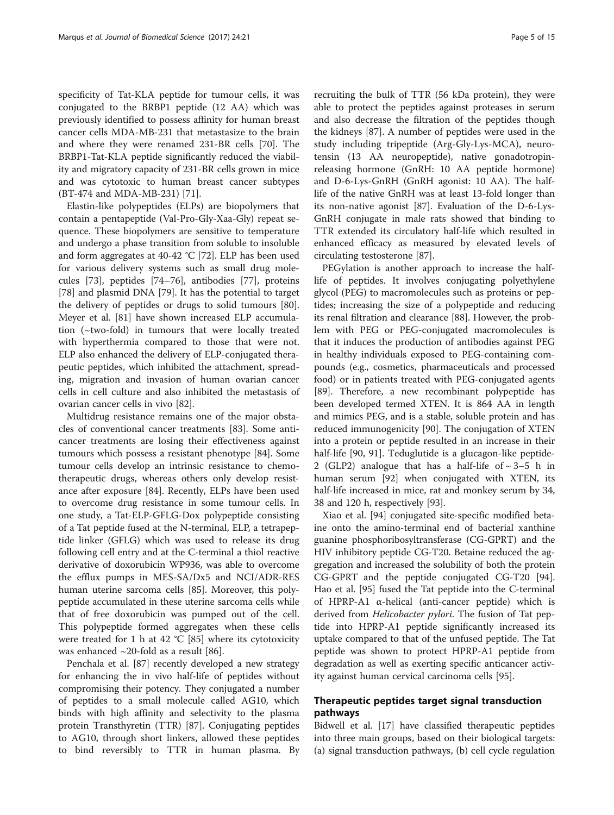specificity of Tat-KLA peptide for tumour cells, it was conjugated to the BRBP1 peptide (12 AA) which was previously identified to possess affinity for human breast cancer cells MDA-MB-231 that metastasize to the brain and where they were renamed 231-BR cells [\[70](#page-11-0)]. The BRBP1-Tat-KLA peptide significantly reduced the viability and migratory capacity of 231-BR cells grown in mice and was cytotoxic to human breast cancer subtypes (BT-474 and MDA-MB-231) [\[71\]](#page-11-0).

Elastin-like polypeptides (ELPs) are biopolymers that contain a pentapeptide (Val-Pro-Gly-Xaa-Gly) repeat sequence. These biopolymers are sensitive to temperature and undergo a phase transition from soluble to insoluble and form aggregates at 40-42 °C [\[72](#page-11-0)]. ELP has been used for various delivery systems such as small drug molecules [[73\]](#page-11-0), peptides [\[74](#page-11-0)–[76\]](#page-12-0), antibodies [\[77](#page-12-0)], proteins [[78\]](#page-12-0) and plasmid DNA [[79](#page-12-0)]. It has the potential to target the delivery of peptides or drugs to solid tumours [\[80](#page-12-0)]. Meyer et al. [[81\]](#page-12-0) have shown increased ELP accumulation (~two-fold) in tumours that were locally treated with hyperthermia compared to those that were not. ELP also enhanced the delivery of ELP-conjugated therapeutic peptides, which inhibited the attachment, spreading, migration and invasion of human ovarian cancer cells in cell culture and also inhibited the metastasis of ovarian cancer cells in vivo [[82](#page-12-0)].

Multidrug resistance remains one of the major obstacles of conventional cancer treatments [[83\]](#page-12-0). Some anticancer treatments are losing their effectiveness against tumours which possess a resistant phenotype [[84](#page-12-0)]. Some tumour cells develop an intrinsic resistance to chemotherapeutic drugs, whereas others only develop resistance after exposure [\[84\]](#page-12-0). Recently, ELPs have been used to overcome drug resistance in some tumour cells. In one study, a Tat-ELP-GFLG-Dox polypeptide consisting of a Tat peptide fused at the N-terminal, ELP, a tetrapeptide linker (GFLG) which was used to release its drug following cell entry and at the C-terminal a thiol reactive derivative of doxorubicin WP936, was able to overcome the efflux pumps in MES-SA/Dx5 and NCI/ADR-RES human uterine sarcoma cells [[85\]](#page-12-0). Moreover, this polypeptide accumulated in these uterine sarcoma cells while that of free doxorubicin was pumped out of the cell. This polypeptide formed aggregates when these cells were treated for 1 h at 42 °C [\[85\]](#page-12-0) where its cytotoxicity was enhanced  $\sim$ 20-fold as a result [\[86](#page-12-0)].

Penchala et al. [\[87](#page-12-0)] recently developed a new strategy for enhancing the in vivo half-life of peptides without compromising their potency. They conjugated a number of peptides to a small molecule called AG10, which binds with high affinity and selectivity to the plasma protein Transthyretin (TTR) [\[87](#page-12-0)]. Conjugating peptides to AG10, through short linkers, allowed these peptides to bind reversibly to TTR in human plasma. By recruiting the bulk of TTR (56 kDa protein), they were able to protect the peptides against proteases in serum and also decrease the filtration of the peptides though the kidneys [[87\]](#page-12-0). A number of peptides were used in the study including tripeptide (Arg-Gly-Lys-MCA), neurotensin (13 AA neuropeptide), native gonadotropinreleasing hormone (GnRH: 10 AA peptide hormone) and D-6-Lys-GnRH (GnRH agonist: 10 AA). The halflife of the native GnRH was at least 13-fold longer than its non-native agonist [[87](#page-12-0)]. Evaluation of the D-6-Lys-GnRH conjugate in male rats showed that binding to TTR extended its circulatory half-life which resulted in enhanced efficacy as measured by elevated levels of circulating testosterone [[87](#page-12-0)].

PEGylation is another approach to increase the halflife of peptides. It involves conjugating polyethylene glycol (PEG) to macromolecules such as proteins or peptides; increasing the size of a polypeptide and reducing its renal filtration and clearance [\[88\]](#page-12-0). However, the problem with PEG or PEG-conjugated macromolecules is that it induces the production of antibodies against PEG in healthy individuals exposed to PEG-containing compounds (e.g., cosmetics, pharmaceuticals and processed food) or in patients treated with PEG-conjugated agents [[89\]](#page-12-0). Therefore, a new recombinant polypeptide has been developed termed XTEN. It is 864 AA in length and mimics PEG, and is a stable, soluble protein and has reduced immunogenicity [[90\]](#page-12-0). The conjugation of XTEN into a protein or peptide resulted in an increase in their half-life [\[90](#page-12-0), [91\]](#page-12-0). Teduglutide is a glucagon-like peptide-2 (GLP2) analogue that has a half-life of  $\sim$  3–5 h in human serum [[92\]](#page-12-0) when conjugated with XTEN, its half-life increased in mice, rat and monkey serum by 34, 38 and 120 h, respectively [\[93\]](#page-12-0).

Xiao et al. [\[94\]](#page-12-0) conjugated site-specific modified betaine onto the amino-terminal end of bacterial xanthine guanine phosphoribosyltransferase (CG-GPRT) and the HIV inhibitory peptide CG-T20. Betaine reduced the aggregation and increased the solubility of both the protein CG-GPRT and the peptide conjugated CG-T20 [\[94](#page-12-0)]. Hao et al. [\[95](#page-12-0)] fused the Tat peptide into the C-terminal of HPRP-A1 α-helical (anti-cancer peptide) which is derived from *Helicobacter pylori*. The fusion of Tat peptide into HPRP-A1 peptide significantly increased its uptake compared to that of the unfused peptide. The Tat peptide was shown to protect HPRP-A1 peptide from degradation as well as exerting specific anticancer activity against human cervical carcinoma cells [\[95\]](#page-12-0).

# Therapeutic peptides target signal transduction pathways

Bidwell et al. [[17\]](#page-10-0) have classified therapeutic peptides into three main groups, based on their biological targets: (a) signal transduction pathways, (b) cell cycle regulation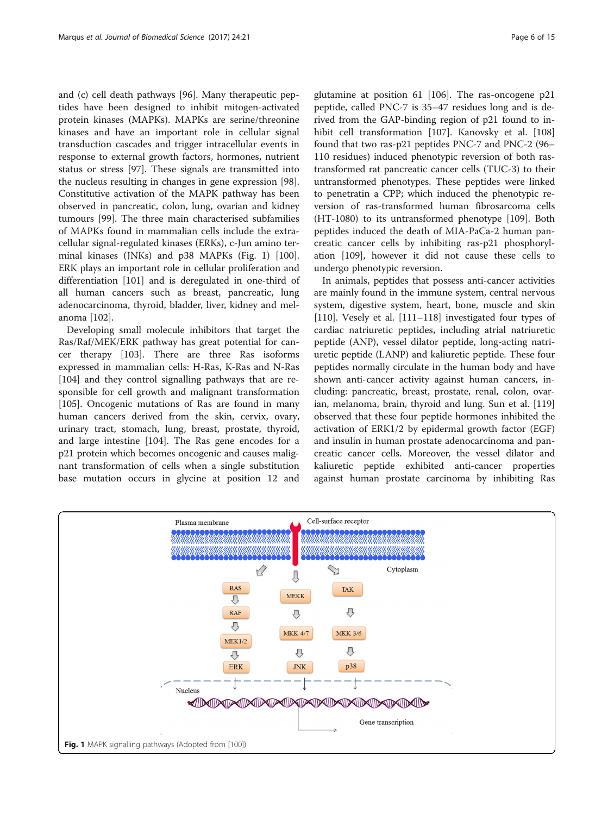and (c) cell death pathways [\[96\]](#page-12-0). Many therapeutic peptides have been designed to inhibit mitogen-activated protein kinases (MAPKs). MAPKs are serine/threonine kinases and have an important role in cellular signal transduction cascades and trigger intracellular events in response to external growth factors, hormones, nutrient status or stress [\[97](#page-12-0)]. These signals are transmitted into the nucleus resulting in changes in gene expression [\[98](#page-12-0)]. Constitutive activation of the MAPK pathway has been observed in pancreatic, colon, lung, ovarian and kidney tumours [\[99](#page-12-0)]. The three main characterised subfamilies of MAPKs found in mammalian cells include the extracellular signal-regulated kinases (ERKs), c-Jun amino terminal kinases (JNKs) and p38 MAPKs (Fig. 1) [\[100](#page-12-0)]. ERK plays an important role in cellular proliferation and differentiation [\[101\]](#page-12-0) and is deregulated in one-third of all human cancers such as breast, pancreatic, lung adenocarcinoma, thyroid, bladder, liver, kidney and melanoma [\[102](#page-12-0)].

Developing small molecule inhibitors that target the Ras/Raf/MEK/ERK pathway has great potential for cancer therapy [\[103\]](#page-12-0). There are three Ras isoforms expressed in mammalian cells: H-Ras, K-Ras and N-Ras [[104\]](#page-12-0) and they control signalling pathways that are responsible for cell growth and malignant transformation [[105\]](#page-12-0). Oncogenic mutations of Ras are found in many human cancers derived from the skin, cervix, ovary, urinary tract, stomach, lung, breast, prostate, thyroid, and large intestine [[104](#page-12-0)]. The Ras gene encodes for a p21 protein which becomes oncogenic and causes malignant transformation of cells when a single substitution base mutation occurs in glycine at position 12 and glutamine at position 61 [\[106\]](#page-12-0). The ras-oncogene p21 peptide, called PNC-7 is 35–47 residues long and is derived from the GAP-binding region of p21 found to in-hibit cell transformation [[107](#page-12-0)]. Kanovsky et al. [[108](#page-12-0)] found that two ras-p21 peptides PNC-7 and PNC-2 (96– 110 residues) induced phenotypic reversion of both rastransformed rat pancreatic cancer cells (TUC-3) to their untransformed phenotypes. These peptides were linked to penetratin a CPP; which induced the phenotypic reversion of ras-transformed human fibrosarcoma cells (HT-1080) to its untransformed phenotype [[109](#page-12-0)]. Both peptides induced the death of MIA-PaCa-2 human pancreatic cancer cells by inhibiting ras-p21 phosphorylation [[109](#page-12-0)], however it did not cause these cells to undergo phenotypic reversion.

In animals, peptides that possess anti-cancer activities are mainly found in the immune system, central nervous system, digestive system, heart, bone, muscle and skin [[110\]](#page-12-0). Vesely et al. [[111](#page-12-0)–[118](#page-12-0)] investigated four types of cardiac natriuretic peptides, including atrial natriuretic peptide (ANP), vessel dilator peptide, long-acting natriuretic peptide (LANP) and kaliuretic peptide. These four peptides normally circulate in the human body and have shown anti-cancer activity against human cancers, including: pancreatic, breast, prostate, renal, colon, ovarian, melanoma, brain, thyroid and lung. Sun et al. [[119](#page-12-0)] observed that these four peptide hormones inhibited the activation of ERK1/2 by epidermal growth factor (EGF) and insulin in human prostate adenocarcinoma and pancreatic cancer cells. Moreover, the vessel dilator and kaliuretic peptide exhibited anti-cancer properties against human prostate carcinoma by inhibiting Ras

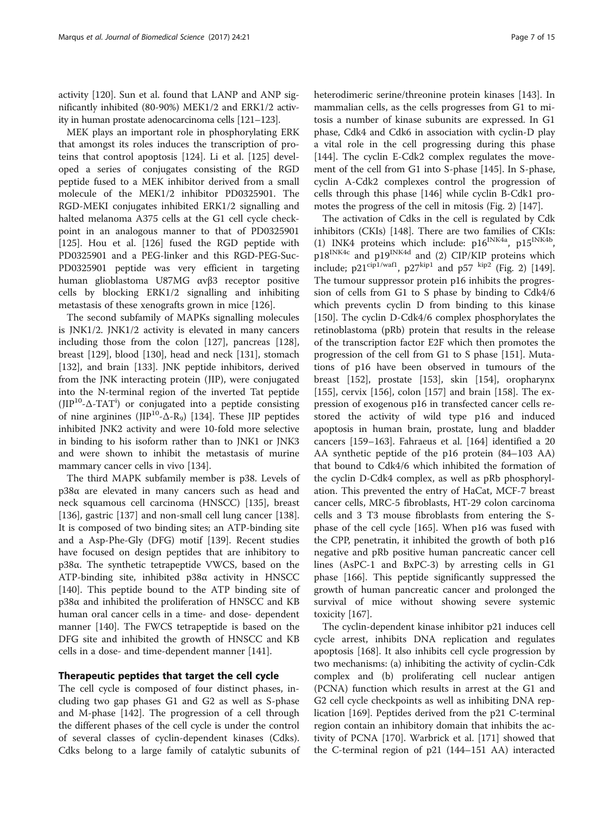activity [\[120](#page-12-0)]. Sun et al. found that LANP and ANP significantly inhibited (80-90%) MEK1/2 and ERK1/2 activity in human prostate adenocarcinoma cells [\[121](#page-12-0)–[123](#page-12-0)].

MEK plays an important role in phosphorylating ERK that amongst its roles induces the transcription of proteins that control apoptosis [\[124](#page-12-0)]. Li et al. [[125\]](#page-12-0) developed a series of conjugates consisting of the RGD peptide fused to a MEK inhibitor derived from a small molecule of the MEK1/2 inhibitor PD0325901. The RGD-MEKI conjugates inhibited ERK1/2 signalling and halted melanoma A375 cells at the G1 cell cycle checkpoint in an analogous manner to that of PD0325901 [[125\]](#page-12-0). Hou et al. [[126\]](#page-12-0) fused the RGD peptide with PD0325901 and a PEG-linker and this RGD-PEG-Suc-PD0325901 peptide was very efficient in targeting human glioblastoma U87MG αvβ3 receptor positive cells by blocking ERK1/2 signalling and inhibiting metastasis of these xenografts grown in mice [[126\]](#page-12-0).

The second subfamily of MAPKs signalling molecules is JNK1/2. JNK1/2 activity is elevated in many cancers including those from the colon [\[127\]](#page-12-0), pancreas [\[128](#page-12-0)], breast [\[129\]](#page-12-0), blood [[130](#page-13-0)], head and neck [[131](#page-13-0)], stomach [[132\]](#page-13-0), and brain [\[133\]](#page-13-0). JNK peptide inhibitors, derived from the JNK interacting protein (JIP), were conjugated into the N-terminal region of the inverted Tat peptide (JIP10-Δ-TAT<sup>i</sup> ) or conjugated into a peptide consisting of nine arginines ( $JIP^{10}-\Delta-R_{9}$ ) [\[134\]](#page-13-0). These JIP peptides inhibited JNK2 activity and were 10-fold more selective in binding to his isoform rather than to JNK1 or JNK3 and were shown to inhibit the metastasis of murine mammary cancer cells in vivo [[134\]](#page-13-0).

The third MAPK subfamily member is p38. Levels of p38α are elevated in many cancers such as head and neck squamous cell carcinoma (HNSCC) [[135\]](#page-13-0), breast [[136\]](#page-13-0), gastric [\[137\]](#page-13-0) and non-small cell lung cancer [\[138](#page-13-0)]. It is composed of two binding sites; an ATP-binding site and a Asp-Phe-Gly (DFG) motif [\[139](#page-13-0)]. Recent studies have focused on design peptides that are inhibitory to p38α. The synthetic tetrapeptide VWCS, based on the ATP-binding site, inhibited p38α activity in HNSCC [[140\]](#page-13-0). This peptide bound to the ATP binding site of p38α and inhibited the proliferation of HNSCC and KB human oral cancer cells in a time- and dose- dependent manner [[140](#page-13-0)]. The FWCS tetrapeptide is based on the DFG site and inhibited the growth of HNSCC and KB cells in a dose- and time-dependent manner [[141\]](#page-13-0).

## Therapeutic peptides that target the cell cycle

The cell cycle is composed of four distinct phases, including two gap phases G1 and G2 as well as S-phase and M-phase [\[142\]](#page-13-0). The progression of a cell through the different phases of the cell cycle is under the control of several classes of cyclin-dependent kinases (Cdks). Cdks belong to a large family of catalytic subunits of heterodimeric serine/threonine protein kinases [\[143\]](#page-13-0). In mammalian cells, as the cells progresses from G1 to mitosis a number of kinase subunits are expressed. In G1 phase, Cdk4 and Cdk6 in association with cyclin-D play a vital role in the cell progressing during this phase [[144\]](#page-13-0). The cyclin E-Cdk2 complex regulates the movement of the cell from G1 into S-phase [\[145](#page-13-0)]. In S-phase, cyclin A-Cdk2 complexes control the progression of cells through this phase [\[146](#page-13-0)] while cyclin B-Cdk1 promotes the progress of the cell in mitosis (Fig. [2\)](#page-7-0) [[147\]](#page-13-0).

The activation of Cdks in the cell is regulated by Cdk inhibitors (CKIs) [[148](#page-13-0)]. There are two families of CKIs: (1) INK4 proteins which include:  $p16^{INK4a}$ ,  $p15^{INK4b}$  $p18^{INK4c}$  and  $p19^{INK4d}$  and (2) CIP/KIP proteins which include;  $p21^{\text{cip1/waf1}}$ ,  $p27^{\text{kip1}}$  and  $p57^{\text{kip2}}$  (Fig. [2\)](#page-7-0) [[149](#page-13-0)]. The tumour suppressor protein p16 inhibits the progression of cells from G1 to S phase by binding to Cdk4/6 which prevents cyclin D from binding to this kinase [[150\]](#page-13-0). The cyclin D-Cdk4/6 complex phosphorylates the retinoblastoma (pRb) protein that results in the release of the transcription factor E2F which then promotes the progression of the cell from G1 to S phase [[151](#page-13-0)]. Mutations of p16 have been observed in tumours of the breast [[152](#page-13-0)], prostate [\[153\]](#page-13-0), skin [\[154\]](#page-13-0), oropharynx [[155\]](#page-13-0), cervix [[156](#page-13-0)], colon [\[157\]](#page-13-0) and brain [[158](#page-13-0)]. The expression of exogenous p16 in transfected cancer cells restored the activity of wild type p16 and induced apoptosis in human brain, prostate, lung and bladder cancers [\[159](#page-13-0)–[163\]](#page-13-0). Fahraeus et al. [[164](#page-13-0)] identified a 20 AA synthetic peptide of the p16 protein (84–103 AA) that bound to Cdk4/6 which inhibited the formation of the cyclin D-Cdk4 complex, as well as pRb phosphorylation. This prevented the entry of HaCat, MCF-7 breast cancer cells, MRC-5 fibroblasts, HT-29 colon carcinoma cells and 3 T3 mouse fibroblasts from entering the Sphase of the cell cycle [[165\]](#page-13-0). When p16 was fused with the CPP, penetratin, it inhibited the growth of both p16 negative and pRb positive human pancreatic cancer cell lines (AsPC-1 and BxPC-3) by arresting cells in G1 phase [[166](#page-13-0)]. This peptide significantly suppressed the growth of human pancreatic cancer and prolonged the survival of mice without showing severe systemic toxicity [[167\]](#page-13-0).

The cyclin-dependent kinase inhibitor p21 induces cell cycle arrest, inhibits DNA replication and regulates apoptosis [[168\]](#page-13-0). It also inhibits cell cycle progression by two mechanisms: (a) inhibiting the activity of cyclin-Cdk complex and (b) proliferating cell nuclear antigen (PCNA) function which results in arrest at the G1 and G2 cell cycle checkpoints as well as inhibiting DNA replication [\[169](#page-13-0)]. Peptides derived from the p21 C-terminal region contain an inhibitory domain that inhibits the activity of PCNA [[170](#page-13-0)]. Warbrick et al. [[171](#page-13-0)] showed that the C-terminal region of p21 (144–151 AA) interacted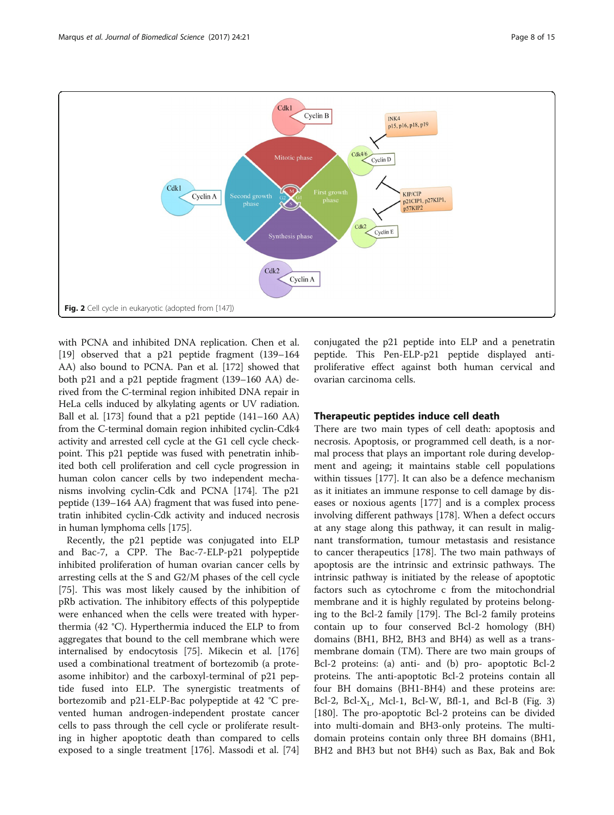<span id="page-7-0"></span>

with PCNA and inhibited DNA replication. Chen et al. [[19\]](#page-11-0) observed that a p21 peptide fragment (139–164 AA) also bound to PCNA. Pan et al. [[172](#page-13-0)] showed that both p21 and a p21 peptide fragment (139–160 AA) derived from the C-terminal region inhibited DNA repair in HeLa cells induced by alkylating agents or UV radiation. Ball et al. [[173](#page-13-0)] found that a p21 peptide (141–160 AA) from the C-terminal domain region inhibited cyclin-Cdk4 activity and arrested cell cycle at the G1 cell cycle checkpoint. This p21 peptide was fused with penetratin inhibited both cell proliferation and cell cycle progression in human colon cancer cells by two independent mechanisms involving cyclin-Cdk and PCNA [[174](#page-13-0)]. The p21 peptide (139–164 AA) fragment that was fused into penetratin inhibited cyclin-Cdk activity and induced necrosis in human lymphoma cells [\[175\]](#page-13-0).

Recently, the p21 peptide was conjugated into ELP and Bac-7, a CPP. The Bac-7-ELP-p21 polypeptide inhibited proliferation of human ovarian cancer cells by arresting cells at the S and G2/M phases of the cell cycle [[75\]](#page-12-0). This was most likely caused by the inhibition of pRb activation. The inhibitory effects of this polypeptide were enhanced when the cells were treated with hyperthermia (42 °C). Hyperthermia induced the ELP to from aggregates that bound to the cell membrane which were internalised by endocytosis [\[75](#page-12-0)]. Mikecin et al. [[176](#page-13-0)] used a combinational treatment of bortezomib (a proteasome inhibitor) and the carboxyl-terminal of p21 peptide fused into ELP. The synergistic treatments of bortezomib and p21-ELP-Bac polypeptide at 42 °C prevented human androgen-independent prostate cancer cells to pass through the cell cycle or proliferate resulting in higher apoptotic death than compared to cells exposed to a single treatment [\[176\]](#page-13-0). Massodi et al. [[74](#page-11-0)] conjugated the p21 peptide into ELP and a penetratin peptide. This Pen-ELP-p21 peptide displayed antiproliferative effect against both human cervical and ovarian carcinoma cells.

# Therapeutic peptides induce cell death

There are two main types of cell death: apoptosis and necrosis. Apoptosis, or programmed cell death, is a normal process that plays an important role during development and ageing; it maintains stable cell populations within tissues [\[177\]](#page-13-0). It can also be a defence mechanism as it initiates an immune response to cell damage by diseases or noxious agents [[177\]](#page-13-0) and is a complex process involving different pathways [\[178\]](#page-13-0). When a defect occurs at any stage along this pathway, it can result in malignant transformation, tumour metastasis and resistance to cancer therapeutics [\[178](#page-13-0)]. The two main pathways of apoptosis are the intrinsic and extrinsic pathways. The intrinsic pathway is initiated by the release of apoptotic factors such as cytochrome c from the mitochondrial membrane and it is highly regulated by proteins belonging to the Bcl-2 family [\[179](#page-13-0)]. The Bcl-2 family proteins contain up to four conserved Bcl-2 homology (BH) domains (BH1, BH2, BH3 and BH4) as well as a transmembrane domain (TM). There are two main groups of Bcl-2 proteins: (a) anti- and (b) pro- apoptotic Bcl-2 proteins. The anti-apoptotic Bcl-2 proteins contain all four BH domains (BH1-BH4) and these proteins are: Bcl-2, Bcl-X<sub>L</sub>, Mcl-1, Bcl-W, Bfl-1, and Bcl-B (Fig. [3](#page-8-0)) [[180\]](#page-13-0). The pro-apoptotic Bcl-2 proteins can be divided into multi-domain and BH3-only proteins. The multidomain proteins contain only three BH domains (BH1, BH2 and BH3 but not BH4) such as Bax, Bak and Bok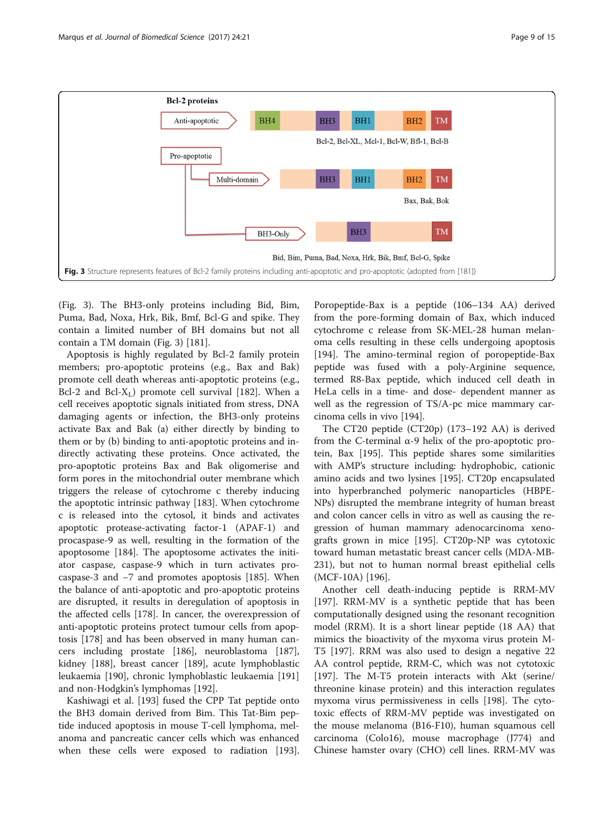<span id="page-8-0"></span>

(Fig. 3). The BH3-only proteins including Bid, Bim, Puma, Bad, Noxa, Hrk, Bik, Bmf, Bcl-G and spike. They contain a limited number of BH domains but not all contain a TM domain (Fig. 3) [[181\]](#page-13-0).

Apoptosis is highly regulated by Bcl-2 family protein members; pro-apoptotic proteins (e.g., Bax and Bak) promote cell death whereas anti-apoptotic proteins (e.g., Bcl-2 and Bcl- $X_L$ ) promote cell survival [\[182](#page-13-0)]. When a cell receives apoptotic signals initiated from stress, DNA damaging agents or infection, the BH3-only proteins activate Bax and Bak (a) either directly by binding to them or by (b) binding to anti-apoptotic proteins and indirectly activating these proteins. Once activated, the pro-apoptotic proteins Bax and Bak oligomerise and form pores in the mitochondrial outer membrane which triggers the release of cytochrome c thereby inducing the apoptotic intrinsic pathway [[183\]](#page-13-0). When cytochrome c is released into the cytosol, it binds and activates apoptotic protease-activating factor-1 (APAF-1) and procaspase-9 as well, resulting in the formation of the apoptosome [\[184\]](#page-13-0). The apoptosome activates the initiator caspase, caspase-9 which in turn activates procaspase-3 and −7 and promotes apoptosis [\[185](#page-13-0)]. When the balance of anti-apoptotic and pro-apoptotic proteins are disrupted, it results in deregulation of apoptosis in the affected cells [\[178](#page-13-0)]. In cancer, the overexpression of anti-apoptotic proteins protect tumour cells from apoptosis [[178\]](#page-13-0) and has been observed in many human cancers including prostate [[186](#page-13-0)], neuroblastoma [\[187](#page-14-0)], kidney [[188\]](#page-14-0), breast cancer [[189](#page-14-0)], acute lymphoblastic leukaemia [[190\]](#page-14-0), chronic lymphoblastic leukaemia [[191](#page-14-0)] and non-Hodgkin's lymphomas [\[192\]](#page-14-0).

Kashiwagi et al. [[193](#page-14-0)] fused the CPP Tat peptide onto the BH3 domain derived from Bim. This Tat-Bim peptide induced apoptosis in mouse T-cell lymphoma, melanoma and pancreatic cancer cells which was enhanced when these cells were exposed to radiation [\[193](#page-14-0)].

Poropeptide-Bax is a peptide (106–134 AA) derived from the pore-forming domain of Bax, which induced cytochrome c release from SK-MEL-28 human melanoma cells resulting in these cells undergoing apoptosis [[194\]](#page-14-0). The amino-terminal region of poropeptide-Bax peptide was fused with a poly-Arginine sequence, termed R8-Bax peptide, which induced cell death in HeLa cells in a time- and dose- dependent manner as well as the regression of TS/A-pc mice mammary carcinoma cells in vivo [\[194\]](#page-14-0).

The CT20 peptide (CT20p) (173–192 AA) is derived from the C-terminal α-9 helix of the pro-apoptotic protein, Bax [[195\]](#page-14-0). This peptide shares some similarities with AMP's structure including: hydrophobic, cationic amino acids and two lysines [[195\]](#page-14-0). CT20p encapsulated into hyperbranched polymeric nanoparticles (HBPE-NPs) disrupted the membrane integrity of human breast and colon cancer cells in vitro as well as causing the regression of human mammary adenocarcinoma xenografts grown in mice [\[195\]](#page-14-0). CT20p-NP was cytotoxic toward human metastatic breast cancer cells (MDA-MB-231), but not to human normal breast epithelial cells (MCF-10A) [\[196](#page-14-0)].

Another cell death-inducing peptide is RRM-MV [[197\]](#page-14-0). RRM-MV is a synthetic peptide that has been computationally designed using the resonant recognition model (RRM). It is a short linear peptide (18 AA) that mimics the bioactivity of the myxoma virus protein M-T5 [[197\]](#page-14-0). RRM was also used to design a negative 22 AA control peptide, RRM-C, which was not cytotoxic [[197\]](#page-14-0). The M-T5 protein interacts with Akt (serine/ threonine kinase protein) and this interaction regulates myxoma virus permissiveness in cells [\[198\]](#page-14-0). The cytotoxic effects of RRM-MV peptide was investigated on the mouse melanoma (B16-F10), human squamous cell carcinoma (Colo16), mouse macrophage (J774) and Chinese hamster ovary (CHO) cell lines. RRM-MV was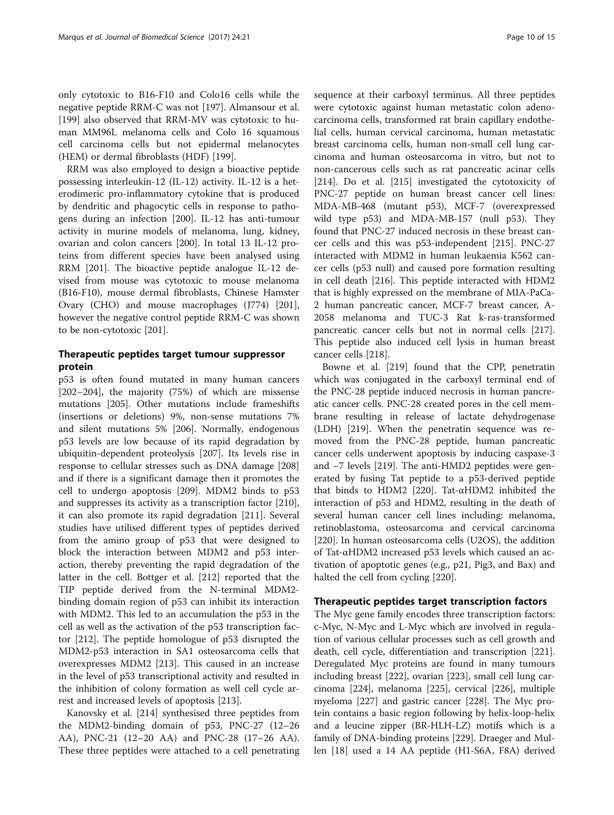only cytotoxic to B16-F10 and Colo16 cells while the negative peptide RRM-C was not [\[197\]](#page-14-0). Almansour et al. [[199\]](#page-14-0) also observed that RRM-MV was cytotoxic to human MM96L melanoma cells and Colo 16 squamous cell carcinoma cells but not epidermal melanocytes (HEM) or dermal fibroblasts (HDF) [\[199\]](#page-14-0).

RRM was also employed to design a bioactive peptide possessing interleukin-12 (IL-12) activity. IL-12 is a heterodimeric pro-inflammatory cytokine that is produced by dendritic and phagocytic cells in response to pathogens during an infection [\[200\]](#page-14-0). IL-12 has anti-tumour activity in murine models of melanoma, lung, kidney, ovarian and colon cancers [[200\]](#page-14-0). In total 13 IL-12 proteins from different species have been analysed using RRM [\[201\]](#page-14-0). The bioactive peptide analogue IL-12 devised from mouse was cytotoxic to mouse melanoma (B16-F10), mouse dermal fibroblasts, Chinese Hamster Ovary (CHO) and mouse macrophages (J774) [\[201](#page-14-0)], however the negative control peptide RRM-C was shown to be non-cytotoxic [\[201\]](#page-14-0).

# Therapeutic peptides target tumour suppressor protein

p53 is often found mutated in many human cancers [[202](#page-14-0)–[204](#page-14-0)], the majority (75%) of which are missense mutations [[205\]](#page-14-0). Other mutations include frameshifts (insertions or deletions) 9%, non-sense mutations 7% and silent mutations 5% [[206](#page-14-0)]. Normally, endogenous p53 levels are low because of its rapid degradation by ubiquitin-dependent proteolysis [[207](#page-14-0)]. Its levels rise in response to cellular stresses such as DNA damage [[208](#page-14-0)] and if there is a significant damage then it promotes the cell to undergo apoptosis [[209](#page-14-0)]. MDM2 binds to p53 and suppresses its activity as a transcription factor [\[210](#page-14-0)], it can also promote its rapid degradation [\[211](#page-14-0)]. Several studies have utilised different types of peptides derived from the amino group of p53 that were designed to block the interaction between MDM2 and p53 interaction, thereby preventing the rapid degradation of the latter in the cell. Bottger et al. [[212](#page-14-0)] reported that the TIP peptide derived from the N-terminal MDM2 binding domain region of p53 can inhibit its interaction with MDM2. This led to an accumulation the p53 in the cell as well as the activation of the p53 transcription factor [[212\]](#page-14-0). The peptide homologue of p53 disrupted the MDM2-p53 interaction in SA1 osteosarcoma cells that overexpresses MDM2 [\[213\]](#page-14-0). This caused in an increase in the level of p53 transcriptional activity and resulted in the inhibition of colony formation as well cell cycle arrest and increased levels of apoptosis [[213](#page-14-0)].

Kanovsky et al. [[214](#page-14-0)] synthesised three peptides from the MDM2-binding domain of p53, PNC-27 (12–26 AA), PNC-21 (12–20 AA) and PNC-28 (17–26 AA). These three peptides were attached to a cell penetrating sequence at their carboxyl terminus. All three peptides were cytotoxic against human metastatic colon adenocarcinoma cells, transformed rat brain capillary endothelial cells, human cervical carcinoma, human metastatic breast carcinoma cells, human non-small cell lung carcinoma and human osteosarcoma in vitro, but not to non-cancerous cells such as rat pancreatic acinar cells [[214\]](#page-14-0). Do et al. [\[215\]](#page-14-0) investigated the cytotoxicity of PNC-27 peptide on human breast cancer cell lines: MDA-MB-468 (mutant p53), MCF-7 (overexpressed wild type p53) and MDA-MB-157 (null p53). They found that PNC-27 induced necrosis in these breast cancer cells and this was p53-independent [[215](#page-14-0)]. PNC-27 interacted with MDM2 in human leukaemia K562 cancer cells (p53 null) and caused pore formation resulting in cell death [[216](#page-14-0)]. This peptide interacted with HDM2 that is highly expressed on the membrane of MIA-PaCa-2 human pancreatic cancer, MCF-7 breast cancer, A-2058 melanoma and TUC-3 Rat k-ras-transformed pancreatic cancer cells but not in normal cells [[217](#page-14-0)]. This peptide also induced cell lysis in human breast cancer cells [\[218\]](#page-14-0).

Bowne et al. [[219\]](#page-14-0) found that the CPP, penetratin which was conjugated in the carboxyl terminal end of the PNC-28 peptide induced necrosis in human pancreatic cancer cells. PNC-28 created pores in the cell membrane resulting in release of lactate dehydrogenase (LDH) [\[219\]](#page-14-0). When the penetratin sequence was removed from the PNC-28 peptide, human pancreatic cancer cells underwent apoptosis by inducing caspase-3 and −7 levels [\[219\]](#page-14-0). The anti-HMD2 peptides were generated by fusing Tat peptide to a p53-derived peptide that binds to HDM2 [\[220](#page-14-0)]. Tat-αHDM2 inhibited the interaction of p53 and HDM2, resulting in the death of several human cancer cell lines including: melanoma, retinoblastoma, osteosarcoma and cervical carcinoma [[220\]](#page-14-0). In human osteosarcoma cells (U2OS), the addition of Tat-αHDM2 increased p53 levels which caused an activation of apoptotic genes (e.g., p21, Pig3, and Bax) and halted the cell from cycling [[220\]](#page-14-0).

## Therapeutic peptides target transcription factors

The Myc gene family encodes three transcription factors: c-Myc, N-Myc and L-Myc which are involved in regulation of various cellular processes such as cell growth and death, cell cycle, differentiation and transcription [[221](#page-14-0)]. Deregulated Myc proteins are found in many tumours including breast [\[222\]](#page-14-0), ovarian [[223](#page-14-0)], small cell lung carcinoma [\[224](#page-14-0)], melanoma [[225\]](#page-14-0), cervical [\[226\]](#page-14-0), multiple myeloma [\[227\]](#page-14-0) and gastric cancer [[228\]](#page-14-0). The Myc protein contains a basic region following by helix-loop-helix and a leucine zipper (BR-HLH-LZ) motifs which is a family of DNA-binding proteins [[229\]](#page-14-0). Draeger and Mullen [[18\]](#page-11-0) used a 14 AA peptide (H1-S6A, F8A) derived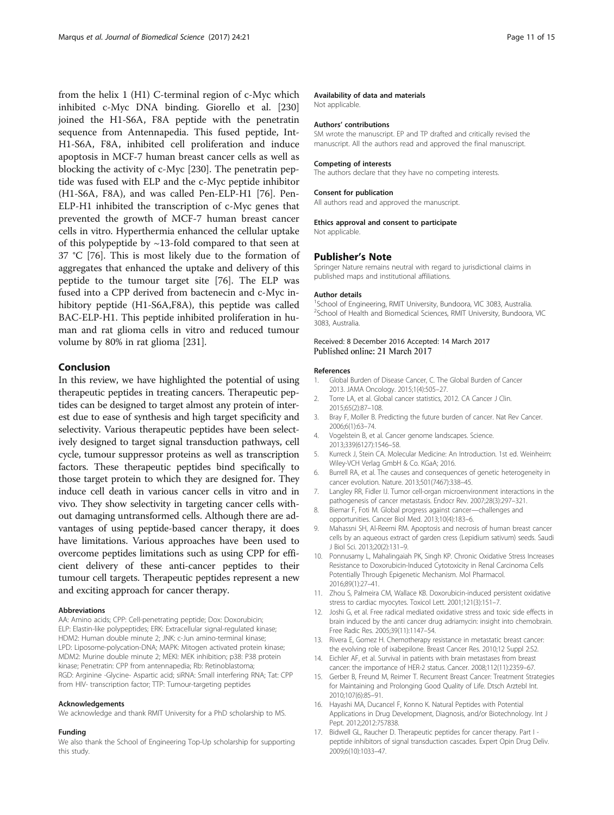<span id="page-10-0"></span>from the helix 1 (H1) C-terminal region of c-Myc which inhibited c-Myc DNA binding. Giorello et al. [[230](#page-14-0)] joined the H1-S6A, F8A peptide with the penetratin sequence from Antennapedia. This fused peptide, Int-H1-S6A, F8A, inhibited cell proliferation and induce apoptosis in MCF-7 human breast cancer cells as well as blocking the activity of c-Myc [\[230\]](#page-14-0). The penetratin peptide was fused with ELP and the c-Myc peptide inhibitor (H1-S6A, F8A), and was called Pen-ELP-H1 [\[76\]](#page-12-0). Pen-ELP-H1 inhibited the transcription of c-Myc genes that prevented the growth of MCF-7 human breast cancer cells in vitro. Hyperthermia enhanced the cellular uptake of this polypeptide by  $\sim$ 13-fold compared to that seen at 37 °C [\[76](#page-12-0)]. This is most likely due to the formation of aggregates that enhanced the uptake and delivery of this peptide to the tumour target site [[76](#page-12-0)]. The ELP was fused into a CPP derived from bactenecin and c-Myc inhibitory peptide (H1-S6A,F8A), this peptide was called BAC-ELP-H1. This peptide inhibited proliferation in human and rat glioma cells in vitro and reduced tumour volume by 80% in rat glioma [\[231](#page-14-0)].

# Conclusion

In this review, we have highlighted the potential of using therapeutic peptides in treating cancers. Therapeutic peptides can be designed to target almost any protein of interest due to ease of synthesis and high target specificity and selectivity. Various therapeutic peptides have been selectively designed to target signal transduction pathways, cell cycle, tumour suppressor proteins as well as transcription factors. These therapeutic peptides bind specifically to those target protein to which they are designed for. They induce cell death in various cancer cells in vitro and in vivo. They show selectivity in targeting cancer cells without damaging untransformed cells. Although there are advantages of using peptide-based cancer therapy, it does have limitations. Various approaches have been used to overcome peptides limitations such as using CPP for efficient delivery of these anti-cancer peptides to their tumour cell targets. Therapeutic peptides represent a new and exciting approach for cancer therapy.

#### Abbreviations

AA: Amino acids; CPP: Cell-penetrating peptide; Dox: Doxorubicin; ELP: Elastin-like polypeptides; ERK: Extracellular signal-regulated kinase; HDM2: Human double minute 2; JNK: c-Jun amino-terminal kinase; LPD: Liposome-polycation-DNA; MAPK: Mitogen activated protein kinase; MDM2: Murine double minute 2; MEKI: MEK inhibition; p38: P38 protein kinase; Penetratin: CPP from antennapedia; Rb: Retinoblastoma; RGD: Arginine -Glycine- Aspartic acid; siRNA: Small interfering RNA; Tat: CPP from HIV- transcription factor; TTP: Tumour-targeting peptides

#### Acknowledgements

We acknowledge and thank RMIT University for a PhD scholarship to MS.

#### Funding

We also thank the School of Engineering Top-Up scholarship for supporting this study.

#### Availability of data and materials

Not applicable.

#### Authors' contributions

SM wrote the manuscript. EP and TP drafted and critically revised the manuscript. All the authors read and approved the final manuscript.

#### Competing of interests

The authors declare that they have no competing interests.

#### Consent for publication

All authors read and approved the manuscript.

# Ethics approval and consent to participate

Not applicable.

#### Publisher's Note

Springer Nature remains neutral with regard to jurisdictional claims in published maps and institutional affiliations.

#### Author details

<sup>1</sup>School of Engineering, RMIT University, Bundoora, VIC 3083, Australia. <sup>2</sup>School of Health and Biomedical Sciences, RMIT University, Bundoora, VIC 3083, Australia.

### Received: 8 December 2016 Accepted: 14 March 2017 Published online: 21 March 2017

#### References

- 1. Global Burden of Disease Cancer, C. The Global Burden of Cancer 2013. JAMA Oncology. 2015;1(4):505–27.
- 2. Torre LA, et al. Global cancer statistics, 2012. CA Cancer J Clin. 2015;65(2):87–108.
- 3. Bray F, Moller B. Predicting the future burden of cancer. Nat Rev Cancer. 2006;6(1):63–74.
- 4. Vogelstein B, et al. Cancer genome landscapes. Science. 2013;339(6127):1546–58.
- 5. Kurreck J, Stein CA. Molecular Medicine: An Introduction. 1st ed. Weinheim: Wiley-VCH Verlag GmbH & Co. KGaA; 2016.
- 6. Burrell RA, et al. The causes and consequences of genetic heterogeneity in cancer evolution. Nature. 2013;501(7467):338–45.
- 7. Langley RR, Fidler IJ. Tumor cell-organ microenvironment interactions in the pathogenesis of cancer metastasis. Endocr Rev. 2007;28(3):297–321.
- 8. Biemar F, Foti M. Global progress against cancer—challenges and opportunities. Cancer Biol Med. 2013;10(4):183–6.
- 9. Mahassni SH, Al-Reemi RM. Apoptosis and necrosis of human breast cancer cells by an aqueous extract of garden cress (Lepidium sativum) seeds. Saudi J Biol Sci. 2013;20(2):131–9.
- 10. Ponnusamy L, Mahalingaiah PK, Singh KP. Chronic Oxidative Stress Increases Resistance to Doxorubicin-Induced Cytotoxicity in Renal Carcinoma Cells Potentially Through Epigenetic Mechanism. Mol Pharmacol. 2016;89(1):27–41.
- 11. Zhou S, Palmeira CM, Wallace KB. Doxorubicin-induced persistent oxidative stress to cardiac myocytes. Toxicol Lett. 2001;121(3):151–7.
- 12. Joshi G, et al. Free radical mediated oxidative stress and toxic side effects in brain induced by the anti cancer drug adriamycin: insight into chemobrain. Free Radic Res. 2005;39(11):1147–54.
- 13. Rivera E, Gomez H. Chemotherapy resistance in metastatic breast cancer: the evolving role of ixabepilone. Breast Cancer Res. 2010;12 Suppl 2:S2.
- 14. Eichler AF, et al. Survival in patients with brain metastases from breast cancer: the importance of HER-2 status. Cancer. 2008;112(11):2359–67.
- 15. Gerber B, Freund M, Reimer T. Recurrent Breast Cancer: Treatment Strategies for Maintaining and Prolonging Good Quality of Life. Dtsch Arztebl Int. 2010;107(6):85–91.
- 16. Hayashi MA, Ducancel F, Konno K. Natural Peptides with Potential Applications in Drug Development, Diagnosis, and/or Biotechnology. Int J Pept. 2012;2012:757838.
- 17. Bidwell GL, Raucher D. Therapeutic peptides for cancer therapy. Part I peptide inhibitors of signal transduction cascades. Expert Opin Drug Deliv. 2009;6(10):1033–47.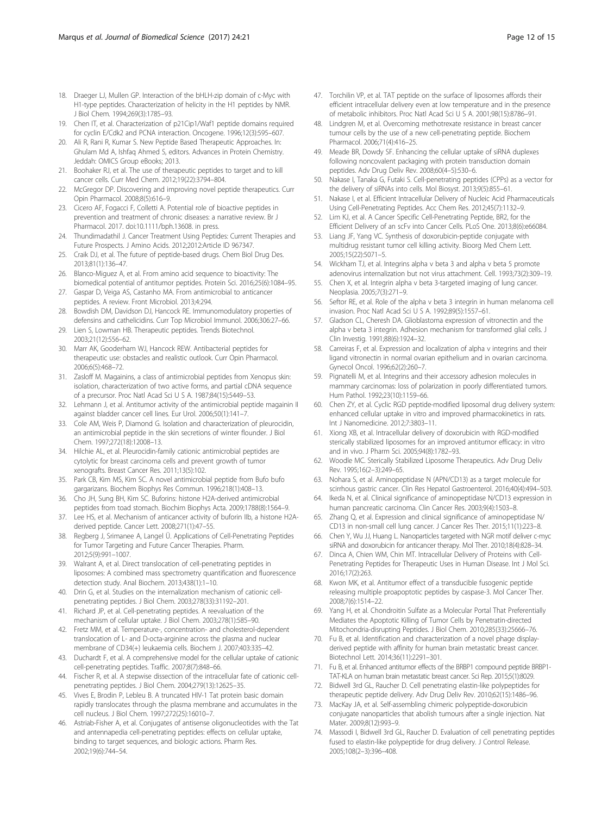- <span id="page-11-0"></span>18. Draeger LJ, Mullen GP. Interaction of the bHLH-zip domain of c-Myc with H1-type peptides. Characterization of helicity in the H1 peptides by NMR. J Biol Chem. 1994;269(3):1785–93.
- 19. Chen IT, et al. Characterization of p21Cip1/Waf1 peptide domains required for cyclin E/Cdk2 and PCNA interaction. Oncogene. 1996;12(3):595–607.
- 20. Ali R, Rani R, Kumar S. New Peptide Based Therapeutic Approaches. In: Ghulam Md A, Ishfaq Ahmed S, editors. Advances in Protein Chemistry. Jeddah: OMICS Group eBooks; 2013.
- 21. Boohaker RJ, et al. The use of therapeutic peptides to target and to kill cancer cells. Curr Med Chem. 2012;19(22):3794–804.
- 22. McGregor DP. Discovering and improving novel peptide therapeutics. Curr Opin Pharmacol. 2008;8(5):616–9.
- 23. Cicero AF, Fogacci F, Colletti A. Potential role of bioactive peptides in prevention and treatment of chronic diseases: a narrative review. Br J Pharmacol. 2017. doi[:10.1111/bph.13608](http://dx.doi.org/10.1111/bph.13608). in press.
- 24. Thundimadathil J. Cancer Treatment Using Peptides: Current Therapies and Future Prospects. J Amino Acids. 2012;2012:Article ID 967347.
- 25. Craik DJ, et al. The future of peptide-based drugs. Chem Biol Drug Des. 2013;81(1):136–47.
- 26. Blanco-Miguez A, et al. From amino acid sequence to bioactivity: The biomedical potential of antitumor peptides. Protein Sci. 2016;25(6):1084–95.
- 27. Gaspar D, Veiga AS, Castanho MA. From antimicrobial to anticancer peptides. A review. Front Microbiol. 2013;4:294.
- 28. Bowdish DM, Davidson DJ, Hancock RE. Immunomodulatory properties of defensins and cathelicidins. Curr Top Microbiol Immunol. 2006;306:27–66.
- 29. Lien S, Lowman HB. Therapeutic peptides. Trends Biotechnol. 2003;21(12):556–62.
- 30. Marr AK, Gooderham WJ, Hancock REW. Antibacterial peptides for therapeutic use: obstacles and realistic outlook. Curr Opin Pharmacol. 2006;6(5):468–72.
- 31. Zasloff M. Magainins, a class of antimicrobial peptides from Xenopus skin: isolation, characterization of two active forms, and partial cDNA sequence of a precursor. Proc Natl Acad Sci U S A. 1987;84(15):5449–53.
- 32. Lehmann J, et al. Antitumor activity of the antimicrobial peptide magainin II against bladder cancer cell lines. Eur Urol. 2006;50(1):141–7.
- 33. Cole AM, Weis P, Diamond G. Isolation and characterization of pleurocidin, an antimicrobial peptide in the skin secretions of winter flounder. J Biol Chem. 1997;272(18):12008–13.
- 34. Hilchie AL, et al. Pleurocidin-family cationic antimicrobial peptides are cytolytic for breast carcinoma cells and prevent growth of tumor xenografts. Breast Cancer Res. 2011;13(5):102.
- 35. Park CB, Kim MS, Kim SC. A novel antimicrobial peptide from Bufo bufo gargarizans. Biochem Biophys Res Commun. 1996;218(1):408–13.
- 36. Cho JH, Sung BH, Kim SC. Buforins: histone H2A-derived antimicrobial peptides from toad stomach. Biochim Biophys Acta. 2009;1788(8):1564–9.
- 37. Lee HS, et al. Mechanism of anticancer activity of buforin IIb, a histone H2Aderived peptide. Cancer Lett. 2008;271(1):47–55.
- 38. Regberg J, Srimanee A, Langel Ü. Applications of Cell-Penetrating Peptides for Tumor Targeting and Future Cancer Therapies. Pharm. 2012;5(9):991–1007.
- 39. Walrant A, et al. Direct translocation of cell-penetrating peptides in liposomes: A combined mass spectrometry quantification and fluorescence detection study. Anal Biochem. 2013;438(1):1–10.
- 40. Drin G, et al. Studies on the internalization mechanism of cationic cellpenetrating peptides. J Biol Chem. 2003;278(33):31192–201.
- 41. Richard JP, et al. Cell-penetrating peptides. A reevaluation of the mechanism of cellular uptake. J Biol Chem. 2003;278(1):585–90.
- 42. Fretz MM, et al. Temperature-, concentration- and cholesterol-dependent translocation of L- and D-octa-arginine across the plasma and nuclear membrane of CD34(+) leukaemia cells. Biochem J. 2007;403:335–42.
- 43. Duchardt F, et al. A comprehensive model for the cellular uptake of cationic cell-penetrating peptides. Traffic. 2007;8(7):848–66.
- 44. Fischer R, et al. A stepwise dissection of the intracellular fate of cationic cellpenetrating peptides. J Biol Chem. 2004;279(13):12625–35.
- 45. Vives E, Brodin P, Lebleu B. A truncated HIV-1 Tat protein basic domain rapidly translocates through the plasma membrane and accumulates in the cell nucleus. J Biol Chem. 1997;272(25):16010–7.
- 46. Astriab-Fisher A, et al. Conjugates of antisense oligonucleotides with the Tat and antennapedia cell-penetrating peptides: effects on cellular uptake, binding to target sequences, and biologic actions. Pharm Res. 2002;19(6):744–54.
- 47. Torchilin VP, et al. TAT peptide on the surface of liposomes affords their efficient intracellular delivery even at low temperature and in the presence of metabolic inhibitors. Proc Natl Acad Sci U S A. 2001;98(15):8786–91.
- 48. Lindgren M, et al. Overcoming methotrexate resistance in breast cancer tumour cells by the use of a new cell-penetrating peptide. Biochem Pharmacol. 2006;71(4):416–25.
- 49. Meade BR, Dowdy SF. Enhancing the cellular uptake of siRNA duplexes following noncovalent packaging with protein transduction domain peptides. Adv Drug Deliv Rev. 2008;60(4–5):530–6.
- 50. Nakase I, Tanaka G, Futaki S. Cell-penetrating peptides (CPPs) as a vector for the delivery of siRNAs into cells. Mol Biosyst. 2013;9(5):855–61.
- 51. Nakase I, et al. Efficient Intracellular Delivery of Nucleic Acid Pharmaceuticals Using Cell-Penetrating Peptides. Acc Chem Res. 2012;45(7):1132–9.
- 52. Lim KJ, et al. A Cancer Specific Cell-Penetrating Peptide, BR2, for the Efficient Delivery of an scFv into Cancer Cells. PLoS One. 2013;8(6):e66084.
- 53. Liang JF, Yang VC. Synthesis of doxorubicin-peptide conjugate with multidrug resistant tumor cell killing activity. Bioorg Med Chem Lett. 2005;15(22):5071–5.
- 54. Wickham TJ, et al. Integrins alpha v beta 3 and alpha v beta 5 promote adenovirus internalization but not virus attachment. Cell. 1993;73(2):309–19.
- 55. Chen X, et al. Integrin alpha v beta 3-targeted imaging of lung cancer. Neoplasia. 2005;7(3):271–9.
- 56. Seftor RE, et al. Role of the alpha v beta 3 integrin in human melanoma cell invasion. Proc Natl Acad Sci U S A. 1992;89(5):1557–61.
- 57. Gladson CL, Cheresh DA. Glioblastoma expression of vitronectin and the alpha v beta 3 integrin. Adhesion mechanism for transformed glial cells. J Clin Investig. 1991;88(6):1924–32.
- 58. Carreiras F, et al. Expression and localization of alpha v integrins and their ligand vitronectin in normal ovarian epithelium and in ovarian carcinoma. Gynecol Oncol. 1996;62(2):260–7.
- 59. Pignatelli M, et al. Integrins and their accessory adhesion molecules in mammary carcinomas: loss of polarization in poorly differentiated tumors. Hum Pathol. 1992;23(10):1159–66.
- 60. Chen ZY, et al. Cyclic RGD peptide-modified liposomal drug delivery system: enhanced cellular uptake in vitro and improved pharmacokinetics in rats. Int J Nanomedicine. 2012;7:3803–11.
- 61. Xiong XB, et al. Intracellular delivery of doxorubicin with RGD-modified sterically stabilized liposomes for an improved antitumor efficacy: in vitro and in vivo. J Pharm Sci. 2005;94(8):1782–93.
- 62. Woodle MC. Sterically Stabilized Liposome Therapeutics. Adv Drug Deliv Rev. 1995;16(2–3):249–65.
- 63. Nohara S, et al. Aminopeptidase N (APN/CD13) as a target molecule for scirrhous gastric cancer. Clin Res Hepatol Gastroenterol. 2016;40(4):494–503.
- 64. Ikeda N, et al. Clinical significance of aminopeptidase N/CD13 expression in human pancreatic carcinoma. Clin Cancer Res. 2003;9(4):1503–8.
- 65. Zhang Q, et al. Expression and clinical significance of aminopeptidase N/ CD13 in non-small cell lung cancer. J Cancer Res Ther. 2015;11(1):223–8.
- 66. Chen Y, Wu JJ, Huang L. Nanoparticles targeted with NGR motif deliver c-myc siRNA and doxorubicin for anticancer therapy. Mol Ther. 2010;18(4):828–34.
- 67. Dinca A, Chien WM, Chin MT. Intracellular Delivery of Proteins with Cell-Penetrating Peptides for Therapeutic Uses in Human Disease. Int J Mol Sci. 2016;17(2):263.
- 68. Kwon MK, et al. Antitumor effect of a transducible fusogenic peptide releasing multiple proapoptotic peptides by caspase-3. Mol Cancer Ther. 2008;7(6):1514–22.
- 69. Yang H, et al. Chondroitin Sulfate as a Molecular Portal That Preferentially Mediates the Apoptotic Killing of Tumor Cells by Penetratin-directed Mitochondria-disrupting Peptides. J Biol Chem. 2010;285(33):25666–76.
- 70. Fu B, et al. Identification and characterization of a novel phage displayderived peptide with affinity for human brain metastatic breast cancer. Biotechnol Lett. 2014;36(11):2291–301.
- 71. Fu B, et al. Enhanced antitumor effects of the BRBP1 compound peptide BRBP1- TAT-KLA on human brain metastatic breast cancer. Sci Rep. 2015;5(1):8029.
- 72. Bidwell 3rd GL, Raucher D. Cell penetrating elastin-like polypeptides for therapeutic peptide delivery. Adv Drug Deliv Rev. 2010;62(15):1486–96.
- 73. MacKay JA, et al. Self-assembling chimeric polypeptide-doxorubicin conjugate nanoparticles that abolish tumours after a single injection. Nat Mater. 2009;8(12):993–9.
- 74. Massodi I, Bidwell 3rd GL, Raucher D. Evaluation of cell penetrating peptides fused to elastin-like polypeptide for drug delivery. J Control Release. 2005;108(2–3):396–408.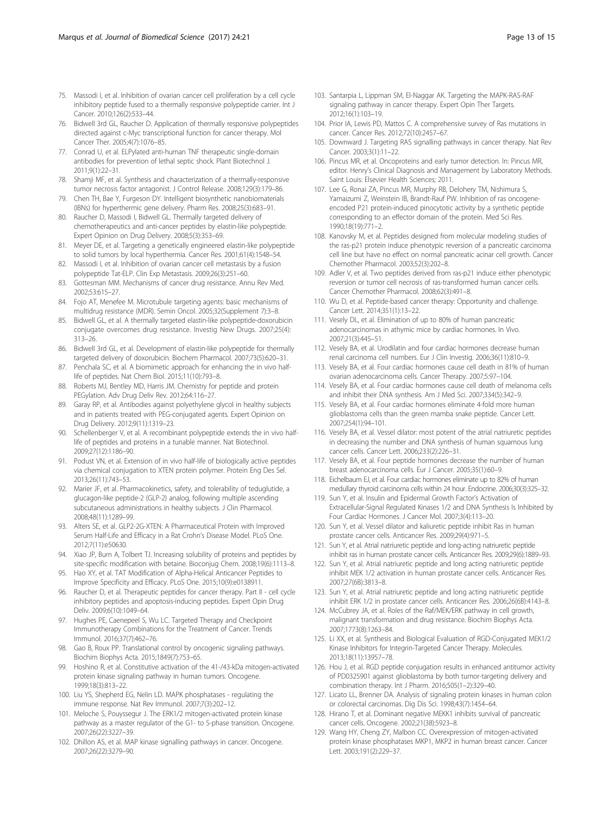- <span id="page-12-0"></span>75. Massodi I, et al. Inhibition of ovarian cancer cell proliferation by a cell cycle inhibitory peptide fused to a thermally responsive polypeptide carrier. Int J Cancer. 2010;126(2):533–44.
- 76. Bidwell 3rd GL, Raucher D. Application of thermally responsive polypeptides directed against c-Myc transcriptional function for cancer therapy. Mol Cancer Ther. 2005;4(7):1076–85.
- 77. Conrad U, et al. ELPylated anti-human TNF therapeutic single-domain antibodies for prevention of lethal septic shock. Plant Biotechnol J. 2011;9(1):22–31.
- 78. Shamji MF, et al. Synthesis and characterization of a thermally-responsive tumor necrosis factor antagonist. J Control Release. 2008;129(3):179–86.
- 79. Chen TH, Bae Y, Furgeson DY. Intelligent biosynthetic nanobiomaterials (IBNs) for hyperthermic gene delivery. Pharm Res. 2008;25(3):683–91.
- 80. Raucher D, Massodi I, Bidwell GL. Thermally targeted delivery of chemotherapeutics and anti-cancer peptides by elastin-like polypeptide. Expert Opinion on Drug Delivery. 2008;5(3):353–69.
- 81. Meyer DE, et al. Targeting a genetically engineered elastin-like polypeptide to solid tumors by local hyperthermia. Cancer Res. 2001;61(4):1548–54.
- 82. Massodi I, et al. Inhibition of ovarian cancer cell metastasis by a fusion polypeptide Tat-ELP. Clin Exp Metastasis. 2009;26(3):251–60.
- 83. Gottesman MM. Mechanisms of cancer drug resistance. Annu Rev Med. 2002;53:615–27.
- 84. Fojo AT, Menefee M. Microtubule targeting agents: basic mechanisms of multidrug resistance (MDR). Semin Oncol. 2005;32(Supplement 7):3–8.
- 85. Bidwell GL, et al. A thermally targeted elastin-like polypeptide-doxorubicin conjugate overcomes drug resistance. Investig New Drugs. 2007;25(4): 313–26.
- 86. Bidwell 3rd GL, et al. Development of elastin-like polypeptide for thermally targeted delivery of doxorubicin. Biochem Pharmacol. 2007;73(5):620–31.
- 87. Penchala SC, et al. A biomimetic approach for enhancing the in vivo halflife of peptides. Nat Chem Biol. 2015;11(10):793–8.
- 88. Roberts MJ, Bentley MD, Harris JM. Chemistry for peptide and protein PEGylation. Adv Drug Deliv Rev. 2012;64:116–27.
- 89. Garay RP, et al. Antibodies against polyethylene glycol in healthy subjects and in patients treated with PEG-conjugated agents. Expert Opinion on Drug Delivery. 2012;9(11):1319–23.
- 90. Schellenberger V, et al. A recombinant polypeptide extends the in vivo halflife of peptides and proteins in a tunable manner. Nat Biotechnol. 2009;27(12):1186–90.
- 91. Podust VN, et al. Extension of in vivo half-life of biologically active peptides via chemical conjugation to XTEN protein polymer. Protein Eng Des Sel. 2013;26(11):743–53.
- 92. Marier JF, et al. Pharmacokinetics, safety, and tolerability of teduglutide, a glucagon-like peptide-2 (GLP-2) analog, following multiple ascending subcutaneous administrations in healthy subjects. J Clin Pharmacol. 2008;48(11):1289–99.
- 93. Alters SE, et al. GLP2-2G-XTEN: A Pharmaceutical Protein with Improved Serum Half-Life and Efficacy in a Rat Crohn's Disease Model. PLoS One. 2012;7(11):e50630.
- 94. Xiao JP, Burn A, Tolbert TJ. Increasing solubility of proteins and peptides by site-specific modification with betaine. Bioconjug Chem. 2008;19(6):1113–8.
- 95. Hao XY, et al. TAT Modification of Alpha-Helical Anticancer Peptides to Improve Specificity and Efficacy. PLoS One. 2015;10(9):e0138911.
- 96. Raucher D, et al. Therapeutic peptides for cancer therapy. Part II cell cycle inhibitory peptides and apoptosis-inducing peptides. Expert Opin Drug Deliv. 2009;6(10):1049–64.
- 97. Hughes PE, Caenepeel S, Wu LC. Targeted Therapy and Checkpoint Immunotherapy Combinations for the Treatment of Cancer. Trends Immunol. 2016;37(7):462–76.
- 98. Gao B, Roux PP. Translational control by oncogenic signaling pathways. Biochim Biophys Acta. 2015;1849(7):753–65.
- 99. Hoshino R, et al. Constitutive activation of the 41-/43-kDa mitogen-activated protein kinase signaling pathway in human tumors. Oncogene. 1999;18(3):813–22.
- 100. Liu YS, Shepherd EG, Nelin LD. MAPK phosphatases regulating the immune response. Nat Rev Immunol. 2007;7(3):202–12.
- 101. Meloche S, Pouyssegur J. The ERK1/2 mitogen-activated protein kinase pathway as a master regulator of the G1- to S-phase transition. Oncogene. 2007;26(22):3227–39.
- 102. Dhillon AS, et al. MAP kinase signalling pathways in cancer. Oncogene. 2007;26(22):3279–90.
- 103. Santarpia L, Lippman SM, El-Naggar AK. Targeting the MAPK-RAS-RAF signaling pathway in cancer therapy. Expert Opin Ther Targets. 2012;16(1):103–19.
- 104. Prior IA, Lewis PD, Mattos C. A comprehensive survey of Ras mutations in cancer. Cancer Res. 2012;72(10):2457–67.
- 105. Downward J. Targeting RAS signalling pathways in cancer therapy. Nat Rev Cancer. 2003;3(1):11–22.
- 106. Pincus MR, et al. Oncoproteins and early tumor detection. In: Pincus MR, editor. Henry's Clinical Diagnosis and Management by Laboratory Methods. Saint Louis: Elsevier Health Sciences; 2011.
- 107. Lee G, Ronai ZA, Pincus MR, Murphy RB, Delohery TM, Nishimura S, Yamaizumi Z, Weinstein IB, Brandt-Rauf PW. Inhibition of ras oncogeneencoded P21 protein-induced pinocytotic activity by a synthetic peptide corresponding to an effector domain of the protein. Med Sci Res. 1990;18(19):771–2.
- 108. Kanovsky M, et al. Peptides designed from molecular modeling studies of the ras-p21 protein induce phenotypic reversion of a pancreatic carcinoma cell line but have no effect on normal pancreatic acinar cell growth. Cancer Chemother Pharmacol. 2003;52(3):202–8.
- 109. Adler V, et al. Two peptides derived from ras-p21 induce either phenotypic reversion or tumor cell necrosis of ras-transformed human cancer cells. Cancer Chemother Pharmacol. 2008;62(3):491–8.
- 110. Wu D, et al. Peptide-based cancer therapy: Opportunity and challenge. Cancer Lett. 2014;351(1):13–22.
- 111. Vesely DL, et al. Elimination of up to 80% of human pancreatic adenocarcinomas in athymic mice by cardiac hormones. In Vivo. 2007;21(3):445–51.
- 112. Vesely BA, et al. Urodilatin and four cardiac hormones decrease human renal carcinoma cell numbers. Eur J Clin Investig. 2006;36(11):810–9.
- 113. Vesely BA, et al. Four cardiac hormones cause cell death in 81% of human ovarian adenocarcinoma cells. Cancer Therapy. 2007;5:97–104.
- 114. Vesely BA, et al. Four cardiac hormones cause cell death of melanoma cells and inhibit their DNA synthesis. Am J Med Sci. 2007;334(5):342–9.
- 115. Vesely BA, et al. Four cardiac hormones eliminate 4-fold more human glioblastoma cells than the green mamba snake peptide. Cancer Lett. 2007;254(1):94–101.
- 116. Vesely BA, et al. Vessel dilator: most potent of the atrial natriuretic peptides in decreasing the number and DNA synthesis of human squamous lung cancer cells. Cancer Lett. 2006;233(2):226–31.
- 117. Vesely BA, et al. Four peptide hormones decrease the number of human breast adenocarcinoma cells. Eur J Cancer. 2005;35(1):60–9.
- 118. Eichelbaum EJ, et al. Four cardiac hormones eliminate up to 82% of human medullary thyroid carcinoma cells within 24 hour. Endocrine. 2006;30(3):325–32.
- 119. Sun Y, et al. Insulin and Epidermal Growth Factor's Activation of Extracellular-Signal Regulated Kinases 1/2 and DNA Synthesis Is Inhibited by Four Cardiac Hormones. J Cancer Mol. 2007;3(4):113–20.
- 120. Sun Y, et al. Vessel dilator and kaliuretic peptide inhibit Ras in human prostate cancer cells. Anticancer Res. 2009;29(4):971–5.
- 121. Sun Y, et al. Atrial natriuretic peptide and long-acting natriuretic peptide inhibit ras in human prostate cancer cells. Anticancer Res. 2009;29(6):1889–93.
- 122. Sun Y, et al. Atrial natriuretic peptide and long acting natriuretic peptide inhibit MEK 1/2 activation in human prostate cancer cells. Anticancer Res. 2007;27(6B):3813–8.
- 123. Sun Y, et al. Atrial natriuretic peptide and long acting natriuretic peptide inhibit ERK 1/2 in prostate cancer cells. Anticancer Res. 2006;26(6B):4143–8.
- 124. McCubrey JA, et al. Roles of the Raf/MEK/ERK pathway in cell growth, malignant transformation and drug resistance. Biochim Biophys Acta. 2007;1773(8):1263–84.
- 125. Li XX, et al. Synthesis and Biological Evaluation of RGD-Conjugated MEK1/2 Kinase Inhibitors for Integrin-Targeted Cancer Therapy. Molecules. 2013;18(11):13957–78.
- 126. Hou J, et al. RGD peptide conjugation results in enhanced antitumor activity of PD0325901 against glioblastoma by both tumor-targeting delivery and combination therapy. Int J Pharm. 2016;505(1–2):329–40.
- 127. Licato LL, Brenner DA. Analysis of signaling protein kinases in human colon or colorectal carcinomas. Dig Dis Sci. 1998;43(7):1454–64.
- 128. Hirano T, et al. Dominant negative MEKK1 inhibits survival of pancreatic cancer cells. Oncogene. 2002;21(38):5923–8.
- 129. Wang HY, Cheng ZY, Malbon CC. Overexpression of mitogen-activated protein kinase phosphatases MKP1, MKP2 in human breast cancer. Cancer Lett. 2003;191(2):229–37.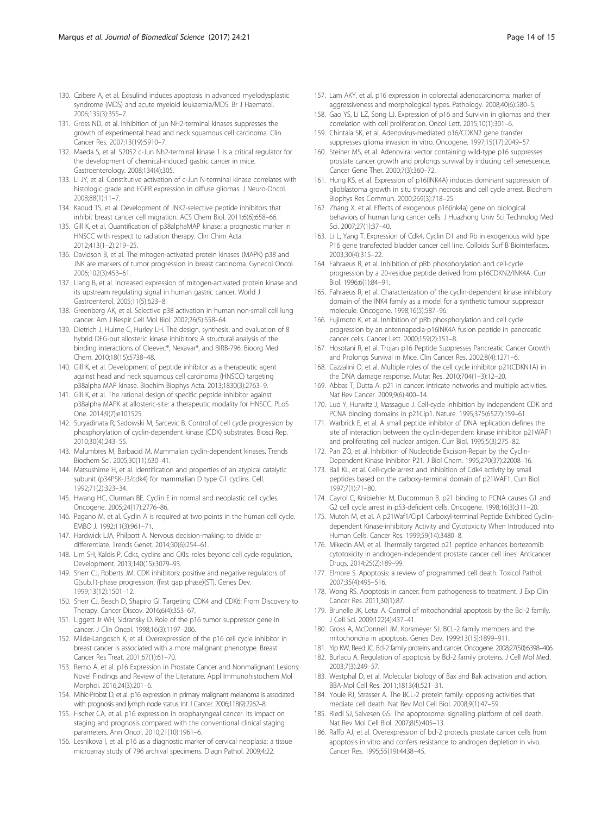- <span id="page-13-0"></span>130. Czibere A, et al. Exisulind induces apoptosis in advanced myelodysplastic syndrome (MDS) and acute myeloid leukaemia/MDS. Br J Haematol. 2006;135(3):355–7.
- 131. Gross ND, et al. Inhibition of jun NH2-terminal kinases suppresses the growth of experimental head and neck squamous cell carcinoma. Clin Cancer Res. 2007;13(19):5910–7.
- 132. Maeda S, et al. S2052 c-Jun Nh2-terminal kinase 1 is a critical regulator for the development of chemical-induced gastric cancer in mice. Gastroenterology. 2008;134(4):305.
- 133. Li JY, et al. Constitutive activation of c-Jun N-terminal kinase correlates with histologic grade and EGFR expression in diffuse gliomas. J Neuro-Oncol. 2008;88(1):11–7.
- 134. Kaoud TS, et al. Development of JNK2-selective peptide inhibitors that inhibit breast cancer cell migration. ACS Chem Biol. 2011;6(6):658–66.
- 135. Gill K, et al. Quantification of p38alphaMAP kinase: a prognostic marker in HNSCC with respect to radiation therapy. Clin Chim Acta. 2012;413(1–2):219–25.
- 136. Davidson B, et al. The mitogen-activated protein kinases (MAPK) p38 and JNK are markers of tumor progression in breast carcinoma. Gynecol Oncol. 2006;102(3):453–61.
- 137. Liang B, et al. Increased expression of mitogen-activated protein kinase and its upstream regulating signal in human gastric cancer. World J Gastroenterol. 2005;11(5):623–8.
- 138. Greenberg AK, et al. Selective p38 activation in human non-small cell lung cancer. Am J Respir Cell Mol Biol. 2002;26(5):558–64.
- 139. Dietrich J, Hulme C, Hurley LH. The design, synthesis, and evaluation of 8 hybrid DFG-out allosteric kinase inhibitors: A structural analysis of the binding interactions of Gleevec®, Nexavar®, and BIRB-796. Bioorg Med Chem. 2010;18(15):5738–48.
- 140. Gill K, et al. Development of peptide inhibitor as a therapeutic agent against head and neck squamous cell carcinoma (HNSCC) targeting p38alpha MAP kinase. Biochim Biophys Acta. 2013;1830(3):2763–9.
- 141. Gill K, et al. The rational design of specific peptide inhibitor against p38alpha MAPK at allosteric-site: a therapeutic modality for HNSCC. PLoS One. 2014;9(7):e101525.
- 142. Suryadinata R, Sadowski M, Sarcevic B. Control of cell cycle progression by phosphorylation of cyclin-dependent kinase (CDK) substrates. Biosci Rep. 2010;30(4):243–55.
- 143. Malumbres M, Barbacid M. Mammalian cyclin-dependent kinases. Trends Biochem Sci. 2005;30(11):630–41.
- 144. Matsushime H, et al. Identification and properties of an atypical catalytic subunit (p34PSK-J3/cdk4) for mammalian D type G1 cyclins. Cell. 1992;71(2):323–34.
- 145. Hwang HC, Clurman BE. Cyclin E in normal and neoplastic cell cycles. Oncogene. 2005;24(17):2776–86.
- 146. Pagano M, et al. Cyclin A is required at two points in the human cell cycle. EMBO J. 1992;11(3):961–71.
- 147. Hardwick LJA, Philpott A. Nervous decision-making: to divide or differentiate. Trends Genet. 2014;30(6):254–61.
- 148. Lim SH, Kaldis P. Cdks, cyclins and CKIs: roles beyond cell cycle regulation. Development. 2013;140(15):3079–93.
- 149. Sherr CJ, Roberts JM. CDK inhibitors: positive and negative regulators of G(sub.1)-phase progression. (first gap phase)(ST). Genes Dev. 1999;13(12):1501–12.
- 150. Sherr CJ, Beach D, Shapiro GI. Targeting CDK4 and CDK6: From Discovery to Therapy. Cancer Discov. 2016;6(4):353–67.
- 151. Liggett Jr WH, Sidransky D. Role of the p16 tumor suppressor gene in cancer. J Clin Oncol. 1998;16(3):1197–206.
- 152. Milde-Langosch K, et al. Overexpression of the p16 cell cycle inhibitor in breast cancer is associated with a more malignant phenotype. Breast Cancer Res Treat. 2001;67(1):61–70.
- 153. Remo A, et al. p16 Expression in Prostate Cancer and Nonmalignant Lesions: Novel Findings and Review of the Literature. Appl Immunohistochem Mol Morphol. 2016;24(3):201–6.
- 154. Mihic-Probst D, et al. p16 expression in primary malignant melanoma is associated with prognosis and lymph node status. Int J Cancer. 2006;118(9):2262–8.
- 155. Fischer CA, et al. p16 expression in oropharyngeal cancer: its impact on staging and prognosis compared with the conventional clinical staging parameters. Ann Oncol. 2010;21(10):1961–6.
- 156. Lesnikova I, et al. p16 as a diagnostic marker of cervical neoplasia: a tissue microarray study of 796 archival specimens. Diagn Pathol. 2009;4:22.
- 157. Lam AKY, et al. p16 expression in colorectal adenocarcinoma: marker of aggressiveness and morphological types. Pathology. 2008;40(6):580–5.
- 158. Gao YS, Li LZ, Song LJ. Expression of p16 and Survivin in gliomas and their correlation with cell proliferation. Oncol Lett. 2015;10(1):301–6.
- 159. Chintala SK, et al. Adenovirus-mediated p16/CDKN2 gene transfer suppresses glioma invasion in vitro. Oncogene. 1997;15(17):2049–57.
- 160. Steiner MS, et al. Adenoviral vector containing wild-type p16 suppresses prostate cancer growth and prolongs survival by inducing cell senescence. Cancer Gene Ther. 2000;7(3):360–72.
- 161. Hung KS, et al. Expression of p16(INK4A) induces dominant suppression of glioblastoma growth in situ through necrosis and cell cycle arrest. Biochem Biophys Res Commun. 2000;269(3):718–25.
- 162. Zhang X, et al. Effects of exogenous p16(ink4a) gene on biological behaviors of human lung cancer cells. J Huazhong Univ Sci Technolog Med Sci. 2007;27(1):37–40.
- 163. Li L, Yang T. Expression of Cdk4, Cyclin D1 and Rb in exogenous wild type P16 gene transfected bladder cancer cell line. Colloids Surf B Biointerfaces. 2003;30(4):315–22.
- 164. Fahraeus R, et al. Inhibition of pRb phosphorylation and cell-cycle progression by a 20-residue peptide derived from p16CDKN2/INK4A. Curr Biol. 1996;6(1):84–91.
- 165. Fahraeus R, et al. Characterization of the cyclin-dependent kinase inhibitory domain of the INK4 family as a model for a synthetic tumour suppressor molecule. Oncogene. 1998;16(5):587–96.
- 166. Fujimoto K, et al. Inhibition of pRb phosphorylation and cell cycle progression by an antennapedia-p16INK4A fusion peptide in pancreatic cancer cells. Cancer Lett. 2000;159(2):151–8.
- 167. Hosotani R, et al. Trojan p16 Peptide Suppresses Pancreatic Cancer Growth and Prolongs Survival in Mice. Clin Cancer Res. 2002;8(4):1271–6.
- 168. Cazzalini O, et al. Multiple roles of the cell cycle inhibitor p21(CDKN1A) in the DNA damage response. Mutat Res. 2010;704(1–3):12–20.
- 169. Abbas T, Dutta A. p21 in cancer: intricate networks and multiple activities. Nat Rev Cancer. 2009;9(6):400–14.
- 170. Luo Y, Hurwitz J, Massague J. Cell-cycle inhibition by independent CDK and PCNA binding domains in p21Cip1. Nature. 1995;375(6527):159–61.
- 171. Warbrick E, et al. A small peptide inhibitor of DNA replication defines the site of interaction between the cyclin-dependent kinase inhibitor p21WAF1 and proliferating cell nuclear antigen. Curr Biol. 1995;5(3):275–82.
- 172. Pan ZQ, et al. Inhibition of Nucleotide Excision-Repair by the Cyclin-Dependent Kinase Inhibitor P21. J Biol Chem. 1995;270(37):22008–16.
- 173. Ball KL, et al. Cell-cycle arrest and inhibition of Cdk4 activity by small peptides based on the carboxy-terminal domain of p21WAF1. Curr Biol. 1997;7(1):71–80.
- 174. Cayrol C, Knibiehler M, Ducommun B. p21 binding to PCNA causes G1 and G2 cell cycle arrest in p53-deficient cells. Oncogene. 1998;16(3):311–20.
- 175. Mutoh M, et al. A p21Waf1/Cip1 Carboxyl-terminal Peptide Exhibited Cyclindependent Kinase-inhibitory Activity and Cytotoxicity When Introduced into Human Cells. Cancer Res. 1999;59(14):3480–8.
- 176. Mikecin AM, et al. Thermally targeted p21 peptide enhances bortezomib cytotoxicity in androgen-independent prostate cancer cell lines. Anticancer Drugs. 2014;25(2):189–99.
- 177. Elmore S. Apoptosis: a review of programmed cell death. Toxicol Pathol. 2007;35(4):495–516.
- 178. Wong RS. Apoptosis in cancer: from pathogenesis to treatment. J Exp Clin Cancer Res. 2011;30(1):87.
- 179. Brunelle JK, Letai A. Control of mitochondrial apoptosis by the Bcl-2 family. J Cell Sci. 2009;122(4):437–41.
- 180. Gross A, McDonnell JM, Korsmeyer SJ. BCL-2 family members and the mitochondria in apoptosis. Genes Dev. 1999;13(15):1899–911.
- 181. Yip KW, Reed JC. Bcl-2 family proteins and cancer. Oncogene. 2008;27(50):6398–406.
- 182. Burlacu A. Regulation of apoptosis by Bcl-2 family proteins. J Cell Mol Med. 2003;7(3):249–57.
- 183. Westphal D, et al. Molecular biology of Bax and Bak activation and action. BBA-Mol Cell Res. 2011;1813(4):521–31.
- 184. Youle RJ, Strasser A. The BCL-2 protein family: opposing activities that mediate cell death. Nat Rev Mol Cell Biol. 2008;9(1):47–59.
- 185. Riedl SJ, Salvesen GS. The apoptosome: signalling platform of cell death. Nat Rev Mol Cell Biol. 2007;8(5):405–13.
- 186. Raffo AJ, et al. Overexpression of bcl-2 protects prostate cancer cells from apoptosis in vitro and confers resistance to androgen depletion in vivo. Cancer Res. 1995;55(19):4438–45.